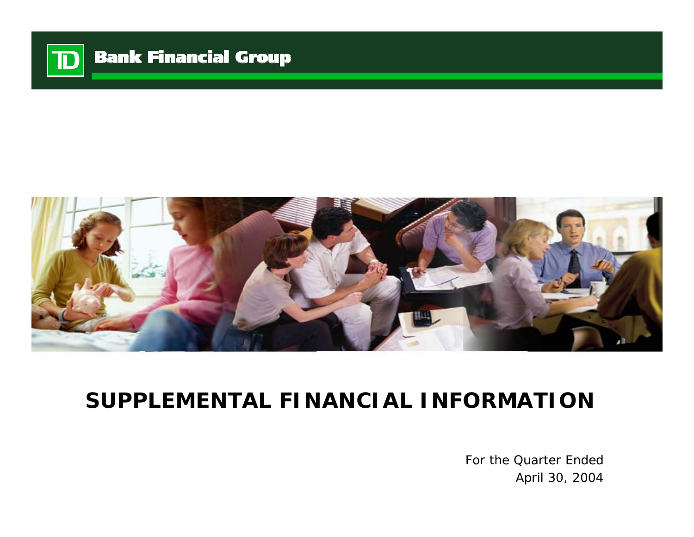

# **Bank Financial Group**



# **SUPPLEMENTAL FINANCIAL INFORMATION**

For the Quarter EndedApril 30, 2004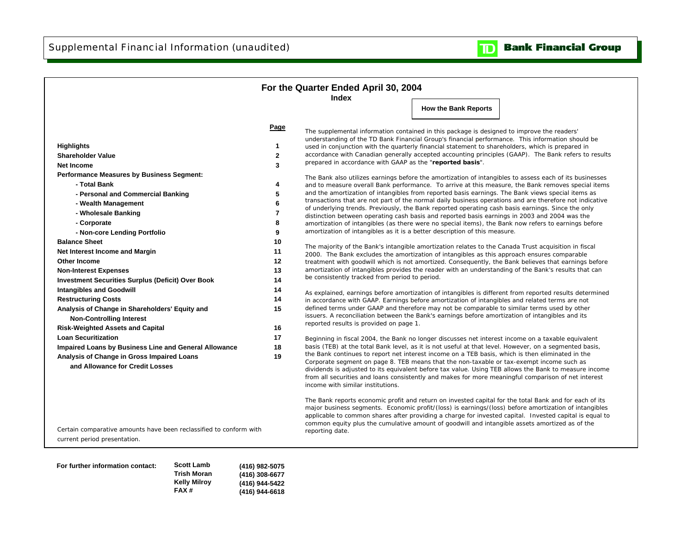

|                                                                    |                | For the Quarter Ended April 30, 2004                                                                                                                                                                            |                             |  |
|--------------------------------------------------------------------|----------------|-----------------------------------------------------------------------------------------------------------------------------------------------------------------------------------------------------------------|-----------------------------|--|
|                                                                    |                | <b>Index</b>                                                                                                                                                                                                    |                             |  |
|                                                                    |                |                                                                                                                                                                                                                 | <b>How the Bank Reports</b> |  |
|                                                                    |                |                                                                                                                                                                                                                 |                             |  |
|                                                                    | Page           | The supplemental information contained in this package is designed to improve the readers'                                                                                                                      |                             |  |
|                                                                    |                | understanding of the TD Bank Financial Group's financial performance. This information should be                                                                                                                |                             |  |
| <b>Highlights</b>                                                  | 1              | used in conjunction with the quarterly financial statement to shareholders, which is prepared in                                                                                                                |                             |  |
| <b>Shareholder Value</b>                                           | $\mathbf{2}$   | accordance with Canadian generally accepted accounting principles (GAAP). The Bank refers to results<br>prepared in accordance with GAAP as the "reported basis".                                               |                             |  |
| Net Income                                                         | 3              |                                                                                                                                                                                                                 |                             |  |
| <b>Performance Measures by Business Segment:</b>                   |                | The Bank also utilizes earnings before the amortization of intangibles to assess each of its businesses                                                                                                         |                             |  |
| - Total Bank                                                       | 4              | and to measure overall Bank performance. To arrive at this measure, the Bank removes special items                                                                                                              |                             |  |
| - Personal and Commercial Banking                                  | 5              | and the amortization of intangibles from reported basis earnings. The Bank views special items as                                                                                                               |                             |  |
| - Wealth Management                                                | 6              | transactions that are not part of the normal daily business operations and are therefore not indicative<br>of underlying trends. Previously, the Bank reported operating cash basis earnings. Since the only    |                             |  |
| - Wholesale Banking                                                | $\overline{7}$ | distinction between operating cash basis and reported basis earnings in 2003 and 2004 was the                                                                                                                   |                             |  |
| - Corporate                                                        | 8              | amortization of intangibles (as there were no special items), the Bank now refers to earnings before                                                                                                            |                             |  |
| - Non-core Lending Portfolio                                       | 9              | amortization of intangibles as it is a better description of this measure.                                                                                                                                      |                             |  |
| <b>Balance Sheet</b>                                               | 10             |                                                                                                                                                                                                                 |                             |  |
| Net Interest Income and Margin                                     | 11             | The majority of the Bank's intangible amortization relates to the Canada Trust acquisition in fiscal<br>2000. The Bank excludes the amortization of intangibles as this approach ensures comparable             |                             |  |
| <b>Other Income</b>                                                | 12             | treatment with goodwill which is not amortized. Consequently, the Bank believes that earnings before                                                                                                            |                             |  |
| <b>Non-Interest Expenses</b>                                       | 13             | amortization of intangibles provides the reader with an understanding of the Bank's results that can                                                                                                            |                             |  |
| <b>Investment Securities Surplus (Deficit) Over Book</b>           | 14             | be consistently tracked from period to period.                                                                                                                                                                  |                             |  |
| <b>Intangibles and Goodwill</b>                                    | 14             |                                                                                                                                                                                                                 |                             |  |
| <b>Restructuring Costs</b>                                         | 14             | As explained, earnings before amortization of intangibles is different from reported results determined                                                                                                         |                             |  |
|                                                                    | 15             | in accordance with GAAP. Earnings before amortization of intangibles and related terms are not<br>defined terms under GAAP and therefore may not be comparable to similar terms used by other                   |                             |  |
| Analysis of Change in Shareholders' Equity and                     |                | issuers. A reconciliation between the Bank's earnings before amortization of intangibles and its                                                                                                                |                             |  |
| <b>Non-Controlling Interest</b>                                    |                | reported results is provided on page 1.                                                                                                                                                                         |                             |  |
| <b>Risk-Weighted Assets and Capital</b>                            | 16             |                                                                                                                                                                                                                 |                             |  |
| <b>Loan Securitization</b>                                         | 17             | Beginning in fiscal 2004, the Bank no longer discusses net interest income on a taxable equivalent                                                                                                              |                             |  |
| Impaired Loans by Business Line and General Allowance              | 18             | basis (TEB) at the total Bank level, as it is not useful at that level. However, on a segmented basis,<br>the Bank continues to report net interest income on a TEB basis, which is then eliminated in the      |                             |  |
| Analysis of Change in Gross Impaired Loans                         | 19             | Corporate segment on page 8. TEB means that the non-taxable or tax-exempt income such as                                                                                                                        |                             |  |
| and Allowance for Credit Losses                                    |                | dividends is adjusted to its equivalent before tax value. Using TEB allows the Bank to measure income                                                                                                           |                             |  |
|                                                                    |                | from all securities and loans consistently and makes for more meaningful comparison of net interest                                                                                                             |                             |  |
|                                                                    |                | income with similar institutions.                                                                                                                                                                               |                             |  |
|                                                                    |                |                                                                                                                                                                                                                 |                             |  |
|                                                                    |                | The Bank reports economic profit and return on invested capital for the total Bank and for each of its<br>major business segments. Economic profit/(loss) is earnings/(loss) before amortization of intangibles |                             |  |
|                                                                    |                | applicable to common shares after providing a charge for invested capital. Invested capital is equal to                                                                                                         |                             |  |
|                                                                    |                | common equity plus the cumulative amount of goodwill and intangible assets amortized as of the                                                                                                                  |                             |  |
| Certain comparative amounts have been reclassified to conform with |                | reporting date.                                                                                                                                                                                                 |                             |  |
| current period presentation.                                       |                |                                                                                                                                                                                                                 |                             |  |

| For further information contact: | <b>Scott Lamb</b><br>Trish Moran | (416) 982-5075<br>(416) 308-6677 |
|----------------------------------|----------------------------------|----------------------------------|
|                                  | <b>Kelly Milroy</b><br>FAX#      | (416) 944-5422<br>(416) 944-6618 |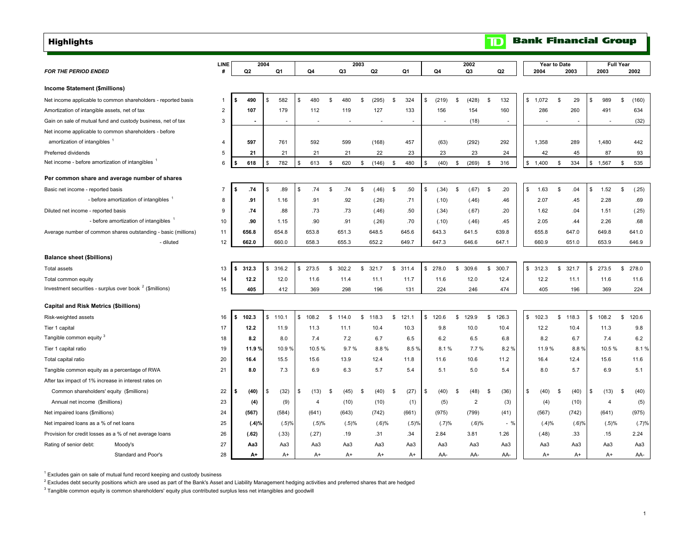<span id="page-2-0"></span>Highlights

|                                                                     | LINE           |             |                        |    |                |             | 2003 |         |              |       |                |        |    | 2002           |              |                          | <b>Year to Date</b> |    |                          |             | <b>Full Year</b> |       |
|---------------------------------------------------------------------|----------------|-------------|------------------------|----|----------------|-------------|------|---------|--------------|-------|----------------|--------|----|----------------|--------------|--------------------------|---------------------|----|--------------------------|-------------|------------------|-------|
| <b>FOR THE PERIOD ENDED</b>                                         | #              | Q2          | 2004<br>Q <sub>1</sub> |    | Q4             | Q3          |      | Q2      |              | Q1    |                | Q4     |    | Q3             |              | Q <sub>2</sub>           | 2004                |    | 2003                     | 2003        |                  | 2002  |
|                                                                     |                |             |                        |    |                |             |      |         |              |       |                |        |    |                |              |                          |                     |    |                          |             |                  |       |
| <b>Income Statement (\$millions)</b>                                |                |             |                        |    |                |             |      |         |              |       |                |        |    |                |              |                          |                     |    |                          |             |                  |       |
| Net income applicable to common shareholders - reported basis       | $\mathbf{1}$   | \$<br>490   | \$<br>582              | S  | 480            | \$<br>480   | \$   | (295)   | \$           | 324   | \$             | (219)  | \$ | (428)          | \$           | 132                      | \$ 1,072            | \$ | 29                       | \$<br>989   | \$               | (160) |
| Amortization of intangible assets, net of tax                       | $\overline{2}$ | 107         | 179                    |    | 112            | 119         |      | 127     |              | 133   |                | 156    |    | 154            |              | 160                      | 286                 |    | 260                      | 491         |                  | 634   |
| Gain on sale of mutual fund and custody business, net of tax        | 3              |             | $\sim$                 |    | $\sim$         |             |      |         |              |       |                | $\sim$ |    | (18)           |              | $\overline{\phantom{a}}$ |                     |    | $\overline{\phantom{a}}$ |             |                  | (32)  |
| Net income applicable to common shareholders - before               |                |             |                        |    |                |             |      |         |              |       |                |        |    |                |              |                          |                     |    |                          |             |                  |       |
| amortization of intangibles                                         | 4              | 597         | 761                    |    | 592            | 599         |      | (168)   |              | 457   |                | (63)   |    | (292)          |              | 292                      | 1,358               |    | 289                      | 1,480       |                  | 442   |
| Preferred dividends                                                 | 5              | 21          | 21                     |    | 21             | 21          |      | 22      |              | 23    |                | 23     |    | 23             |              | 24                       | 42                  |    | 45                       | 87          |                  | 93    |
| Net income - before amortization of intangibles                     | 6              | 618         | 782<br>\$              | \$ | 613            | \$<br>620   | \$   | (146)   | $\mathbb{S}$ | 480   | \$             | (40)   | \$ | (269)          | \$           | 316                      | \$1,400             | \$ | 334                      | \$<br>1,567 | \$               | 535   |
| Per common share and average number of shares                       |                |             |                        |    |                |             |      |         |              |       |                |        |    |                |              |                          |                     |    |                          |             |                  |       |
| Basic net income - reported basis                                   | $\overline{7}$ | \$<br>.74   | \$<br>.89              | S  | .74            | \$<br>.74   | \$   | (.46)   | \$           | .50   | $$\mathbb{S}$$ | (.34)  | \$ | (.67)          | \$           | .20                      | \$<br>1.63          | \$ | .04                      | \$<br>1.52  | \$               | (.25) |
| - before amortization of intangibles 1                              | 8              | .91         | 1.16                   |    | .91            | .92         |      | (.26)   |              | .71   |                | (.10)  |    | (.46)          |              | .46                      | 2.07                |    | .45                      | 2.28        |                  | .69   |
| Diluted net income - reported basis                                 | 9              | .74         | .88                    |    | .73            | .73         |      | (.46)   |              | .50   |                | (.34)  |    | (.67)          |              | .20                      | 1.62                |    | .04                      | 1.51        |                  | (.25) |
| - before amortization of intangibles                                | 10             | .90         | 1.15                   |    | .90            | .91         |      | (.26)   |              | .70   |                | (.10)  |    | (.46)          |              | .45                      | 2.05                |    | .44                      | 2.26        |                  | .68   |
| Average number of common shares outstanding - basic (millions)      | 11             | 656.8       | 654.8                  |    | 653.8          | 651.3       |      | 648.5   |              | 645.6 |                | 643.3  |    | 641.5          |              | 639.8                    | 655.8               |    | 647.0                    | 649.8       |                  | 641.0 |
| - diluted                                                           | 12             | 662.0       | 660.0                  |    | 658.3          | 655.3       |      | 652.2   |              | 649.7 |                | 647.3  |    | 646.6          |              | 647.1                    | 660.9               |    | 651.0                    | 653.9       |                  | 646.9 |
| <b>Balance sheet (\$billions)</b>                                   |                |             |                        |    |                |             |      |         |              |       |                |        |    |                |              |                          |                     |    |                          |             |                  |       |
| <b>Total assets</b>                                                 | 13             | \$<br>312.3 | \$<br>316.2            | s. | 273.5          | \$<br>302.2 | \$   | 321.7   | \$           | 311.4 | $\frac{1}{2}$  | 278.0  | \$ | 309.6          | \$           | 300.7                    | \$312.3             | s. | 321.7                    | \$<br>273.5 | \$               | 278.0 |
| Total common equity                                                 | 14             | 12.2        | 12.0                   |    | 11.6           | 11.4        |      | 11.1    |              | 11.7  |                | 11.6   |    | 12.0           |              | 12.4                     | 12.2                |    | 11.1                     | 11.6        |                  | 11.6  |
| Investment securities - surplus over book <sup>2</sup> (\$millions) | 15             | 405         | 412                    |    | 369            | 298         |      | 196     |              | 131   |                | 224    |    | 246            |              | 474                      | 405                 |    | 196                      | 369         |                  | 224   |
|                                                                     |                |             |                        |    |                |             |      |         |              |       |                |        |    |                |              |                          |                     |    |                          |             |                  |       |
| <b>Capital and Risk Metrics (\$billions)</b>                        |                |             |                        |    |                |             |      |         |              |       |                |        |    |                |              |                          |                     |    |                          |             |                  |       |
| Risk-weighted assets                                                | 16             | \$<br>102.3 | \$ 110.1               |    | \$108.2        | \$<br>114.0 |      | \$118.3 | \$           | 121.1 | $\mathbb{S}$   | 120.6  | \$ | 129.9          | $\mathbb{S}$ | 126.3                    | \$102.3             | \$ | 118.3                    | \$108.2     | S.               | 120.6 |
| Tier 1 capital                                                      | 17             | 12.2        | 11.9                   |    | 11.3           | 11.1        |      | 10.4    |              | 10.3  |                | 9.8    |    | 10.0           |              | 10.4                     | 12.2                |    | 10.4                     | 11.3        |                  | 9.8   |
| Tangible common equity <sup>3</sup>                                 | 18             | 8.2         | 8.0                    |    | 7.4            | 7.2         |      | 6.7     |              | 6.5   |                | 6.2    |    | 6.5            |              | 6.8                      | 8.2                 |    | 6.7                      | 7.4         |                  | 6.2   |
| Tier 1 capital ratio                                                | 19             | 11.9 %      | 10.9%                  |    | 10.5%          | 9.7%        |      | 8.8%    |              | 8.5%  |                | 8.1%   |    | 7.7%           |              | 8.2%                     | 11.9%               |    | 8.8%                     | 10.5 %      |                  | 8.1%  |
| Total capital ratio                                                 | 20             | 16.4        | 15.5                   |    | 15.6           | 13.9        |      | 12.4    |              | 11.8  |                | 11.6   |    | 10.6           |              | 11.2                     | 16.4                |    | 12.4                     | 15.6        |                  | 11.6  |
| Tangible common equity as a percentage of RWA                       | 21             | 8.0         | 7.3                    |    | 6.9            | 6.3         |      | 5.7     |              | 5.4   |                | 5.1    |    | 5.0            |              | 5.4                      | 8.0                 |    | 5.7                      | 6.9         |                  | 5.1   |
| After tax impact of 1% increase in interest rates on                |                |             |                        |    |                |             |      |         |              |       |                |        |    |                |              |                          |                     |    |                          |             |                  |       |
| Common shareholders' equity (\$millions)                            | 22             | (40)<br>\$  | \$<br>(32)             | \$ | (13)           | \$<br>(45)  | \$   | (40)    | -\$          | (27)  | \$             | (40)   | -S | (48)           | \$           | (36)                     | \$<br>(40)          | S  | (40)                     | \$<br>(13)  | - \$             | (40)  |
| Annual net income (\$millions)                                      | 23             | (4)         | (9)                    |    | $\overline{4}$ | (10)        |      | (10)    |              | (1)   |                | (5)    |    | $\overline{2}$ |              | (3)                      | (4)                 |    | (10)                     | 4           |                  | (5)   |
| Net impaired loans (\$millions)                                     | 24             | (567)       | (584)                  |    | (641)          | (643)       |      | (742)   |              | (661) |                | (975)  |    | (799)          |              | (41)                     | (567)               |    | (742)                    | (641)       |                  | (975) |
| Net impaired loans as a % of net loans                              | 25             | (.4)%       | (.5)%                  |    | (.5)%          | (.5)%       |      | (.6)%   |              | (.5)% |                | (.7)%  |    | (.6)%          |              | $-$ %                    | (.4)%               |    | (.6)%                    | (.5)%       |                  | (.7)% |
| Provision for credit losses as a % of net average loans             | 26             | (.62)       | (.33)                  |    | (.27)          | .19         |      | .31     |              | .34   |                | 2.84   |    | 3.81           |              | 1.26                     | (.48)               |    | .33                      | .15         |                  | 2.24  |
| Rating of senior debt:<br>Moody's                                   | 27             | Aa3         | Aa3                    |    | Aa3            | Aa3         |      | Aa3     |              | АаЗ   |                | Aa3    |    | Aa3            |              | Aa3                      | Aa3                 |    | Aa3                      | Aa3         |                  | Aa3   |
| Standard and Poor's                                                 | 28             | A+          | A+                     |    | $A+$           | $A+$        |      | $A+$    |              | $A+$  |                | AA-    |    | AA-            |              | AA-                      | $A+$                |    | $A+$                     | $A+$        |                  | AA-   |

 $^{1}$  Excludes gain on sale of mutual fund record keeping and custody business

<sup>2</sup> Excludes debt security positions which are used as part of the Bank's Asset and Liability Management hedging activities and preferred shares that are hedged

<sup>3</sup> Tangible common equity is common shareholders' equity plus contributed surplus less net intangibles and goodwill

# **TD** Bank Financial Group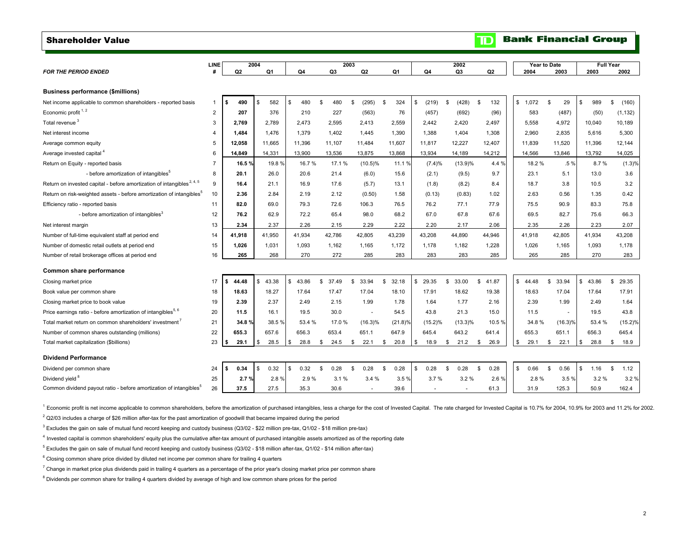## <span id="page-3-0"></span>Shareholder Value

| <b>FOR THE PERIOD ENDED</b>                                                        | <b>LINE</b>    | Q2          | 2004<br>Q1 | Q4         | 2003<br>Q <sub>3</sub> | Q <sub>2</sub> | Q1              | Q4          | 2002<br>Q3  | Q2          | 2004        | Year to Date<br>2003 | <b>Full Year</b><br>2003 | 2002        |
|------------------------------------------------------------------------------------|----------------|-------------|------------|------------|------------------------|----------------|-----------------|-------------|-------------|-------------|-------------|----------------------|--------------------------|-------------|
|                                                                                    |                |             |            |            |                        |                |                 |             |             |             |             |                      |                          |             |
| <b>Business performance (\$millions)</b>                                           |                |             |            |            |                        |                |                 |             |             |             |             |                      |                          |             |
| Net income applicable to common shareholders - reported basis                      | 1              | \$<br>490   | 582<br>\$  | \$<br>480  | 480<br>\$              | (295)<br>\$    | 324<br><b>S</b> | \$<br>(219) | (428)<br>\$ | 132<br>\$   | \$<br>1.072 | $\mathbf{s}$<br>29   | $$\mathbb{S}$$<br>989    | \$<br>(160) |
| Economic profit <sup>1,2</sup>                                                     | $\overline{2}$ | 207         | 376        | 210        | 227                    | (563)          | 76              | (457)       | (692)       | (96)        |             | 583<br>(487)         | (50)                     | (1, 132)    |
| Total revenue <sup>3</sup>                                                         | 3              | 2.769       | 2.789      | 2,473      | 2,595                  | 2,413          | 2,559           | 2,442       | 2,420       | 2,497       | 5,558       | 4,972                | 10,040                   | 10,189      |
| Net interest income                                                                | 4              | 1.484       | 1.476      | 1,379      | 1,402                  | 1,445          | 1,390           | 1,388       | 1,404       | 1,308       | 2.960       | 2.835                | 5.616                    | 5,300       |
| Average common equity                                                              | 5              | 12,058      | 11,665     | 11,396     | 11,107                 | 11,484         | 11,607          | 11,817      | 12,227      | 12,407      | 11,839      | 11,520               | 11.396                   | 12,144      |
| Average invested capital <sup>4</sup>                                              | 6              | 14,849      | 14,331     | 13,900     | 13,536                 | 13,875         | 13,868          | 13,934      | 14,189      | 14,212      | 14,566      | 13,846               | 13,792                   | 14,025      |
| Return on Equity - reported basis                                                  | $\overline{7}$ | 16.5%       | 19.8%      | 16.7%      | 17.1 %                 | $(10.5)\%$     | 11.1%           | (7.4)%      | (13.9)%     | 4.4 %       |             | 18.2 %<br>.5%        | 8.7%                     | (1.3)%      |
| - before amortization of intangibles <sup>5</sup>                                  | 8              | 20.1        | 26.0       | 20.6       | 21.4                   | (6.0)          | 15.6            | (2.1)       | (9.5)       | 9.7         |             | 23.1<br>5.1          | 13.0                     | 3.6         |
| Return on invested capital - before amortization of intangibles <sup>2, 4, 5</sup> | 9              | 16.4        | 21.1       | 16.9       | 17.6                   | (5.7)          | 13.1            | (1.8)       | (8.2)       | 8.4         |             | 18.7<br>3.8          | 10.5                     | 3.2         |
| Return on risk-weighted assets - before amortization of intangibles <sup>5</sup>   | 10             | 2.36        | 2.84       | 2.19       | 2.12                   | (0.50)         | 1.58            | (0.13)      | (0.83)      | 1.02        |             | 2.63<br>0.56         | 1.35                     | 0.42        |
| Efficiency ratio - reported basis                                                  | 11             | 82.0        | 69.0       | 79.3       | 72.6                   | 106.3          | 76.5            | 76.2        | 77.1        | 77.9        |             | 75.5<br>90.9         | 83.3                     | 75.8        |
| - before amortization of intangibles <sup>3</sup>                                  | 12             | 76.2        | 62.9       | 72.2       | 65.4                   | 98.0           | 68.2            | 67.0        | 67.8        | 67.6        |             | 69.5<br>82.7         | 75.6                     | 66.3        |
| Net interest margin                                                                | 13             | 2.34        | 2.37       | 2.26       | 2.15                   | 2.29           | 2.22            | 2.20        | 2.17        | 2.06        |             | 2.35<br>2.26         | 2.23                     | 2.07        |
| Number of full-time equivalent staff at period end                                 | 14             | 41,918      | 41,950     | 41,934     | 42,786                 | 42,805         | 43,239          | 43,208      | 44,890      | 44,946      | 41.918      | 42.805               | 41.934                   | 43,208      |
| Number of domestic retail outlets at period end                                    | 15             | 1,026       | 1,031      | 1,093      | 1,162                  | 1,165          | 1,172           | 1,178       | 1,182       | 1,228       | 1,026       | 1,165                | 1,093                    | 1,178       |
| Number of retail brokerage offices at period end                                   | 16             | 265         | 268        | 270        | 272                    | 285            | 283             | 283         | 283         | 285         |             | 265<br>285           | 270                      | 283         |
| Common share performance                                                           |                |             |            |            |                        |                |                 |             |             |             |             |                      |                          |             |
| Closing market price                                                               | 17             | 44.48<br>\$ | \$43.38    | \$43.86    | 37.49<br>\$            | \$<br>33.94    | \$<br>32.18     | \$<br>29.35 | \$<br>33.00 | \$<br>41.87 | \$44.48     | \$<br>33.94          | $\mathbb S$<br>43.86     | \$<br>29.35 |
| Book value per common share                                                        | 18             | 18.63       | 18.27      | 17.64      | 17.47                  | 17.04          | 18.10           | 17.91       | 18.62       | 19.38       | 18.63       | 17.04                | 17.64                    | 17.91       |
| Closing market price to book value                                                 | 19             | 2.39        | 2.37       | 2.49       | 2.15                   | 1.99           | 1.78            | 1.64        | 1.77        | 2.16        |             | 2.39<br>1.99         | 2.49                     | 1.64        |
| Price earnings ratio - before amortization of intangibles <sup>5, 6</sup>          | 20             | 11.5        | 16.1       | 19.5       | 30.0                   | $\sim$         | 54.5            | 43.8        | 21.3        | 15.0        |             | 11.5<br>$\sim$       | 19.5                     | 43.8        |
| Total market return on common shareholders' investment'                            | 21             | 34.8%       | 38.5%      | 53.4 %     | 17.0%                  | $(16.3)\%$     | $(21.8)\%$      | $(15.2)\%$  | $(13.3)\%$  | 10.5%       |             | 34.8%<br>$(16.3)\%$  | 53.4 %                   | $(15.2)\%$  |
| Number of common shares outstanding (millions)                                     | 22             | 655.3       | 657.6      | 656.3      | 653.4                  | 651.1          | 647.9           | 645.4       | 643.2       | 641.4       | 655.3       | 651.1                | 656.3                    | 645.4       |
| Total market capitalization (\$billions)                                           | 23             | 29.1<br>S.  | \$<br>28.5 | \$<br>28.8 | 24.5<br>S.             | \$<br>22.1     | \$<br>20.8      | \$<br>18.9  | \$<br>21.2  | \$<br>26.9  | \$          | 29.1<br>\$<br>22.1   | \$<br>28.8               | \$<br>18.9  |
| <b>Dividend Performance</b>                                                        |                |             |            |            |                        |                |                 |             |             |             |             |                      |                          |             |
| Dividend per common share                                                          | 24             | \$<br>0.34  | 0.32<br>\$ | \$<br>0.32 | 0.28<br>-S             | 0.28<br>-S     | 0.28<br>-S      | \$<br>0.28  | 0.28<br>\$  | 0.28<br>\$  | \$          | 0.66<br>\$<br>0.56   | \$<br>1.16               | \$<br>1.12  |
| Dividend yield <sup>8</sup>                                                        | 25             | 2.7%        | 2.8%       | 2.9%       | 3.1%                   | 3.4%           | 3.5%            | 3.7%        | 3.2%        | 2.6%        |             | 2.8%<br>3.5%         | 3.2%                     | 3.2%        |
| Common dividend payout ratio - before amortization of intangibles <sup>5</sup>     | 26             | 37.5        | 27.5       | 35.3       | 30.6                   |                | 39.6            |             |             | 61.3        |             | 125.3<br>31.9        | 50.9                     | 162.4       |
|                                                                                    |                |             |            |            |                        |                |                 |             |             |             |             |                      |                          |             |

<sup>1</sup> Economic profit is net income applicable to common shareholders, before the amortization of purchased intangibles, less a charge for the cost of Invested Capital. The rate charged for Invested Capital is 10.7% for 2004

 $2$  Q2/03 includes a charge of \$26 million after-tax for the past amortization of goodwill that became impaired during the period

3 Excludes the gain on sale of mutual fund record keeping and custody business (Q3/02 - \$22 million pre-tax, Q1/02 - \$18 million pre-tax)

4 Invested capital is common shareholders' equity plus the cumulative after-tax amount of purchased intangible assets amortized as of the reporting date

 $5$  Excludes the gain on sale of mutual fund record keeping and custody business (Q3/02 - \$18 million after-tax, Q1/02 - \$14 million after-tax)

 $6$  Closing common share price divided by diluted net income per common share for trailing 4 quarters

 $^7$  Change in market price plus dividends paid in trailing 4 quarters as a percentage of the prior year's closing market price per common share

<sup>8</sup> Dividends per common share for trailing 4 quarters divided by average of high and low common share prices for the period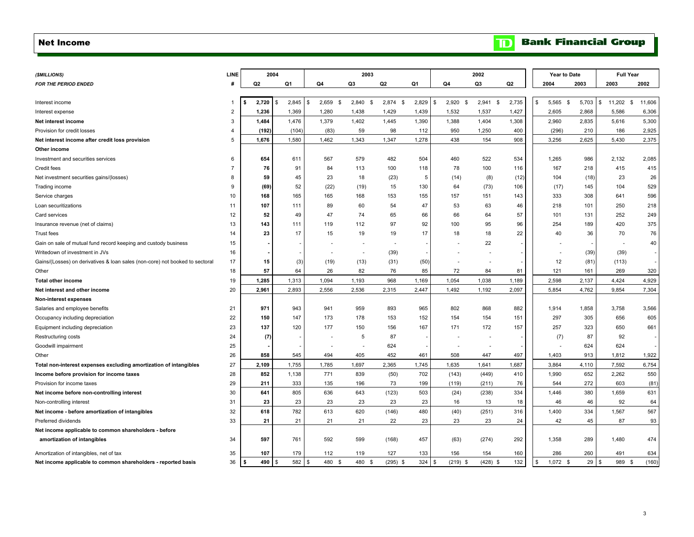#### <span id="page-4-0"></span>Net Income

| (\$MILLIONS)                                                                 | LINE                    |                | 2004 |       |                    | 2003          |                   |       |              |                   | 2002                     |                |                | Year to Date |                        | <b>Full Year</b> |
|------------------------------------------------------------------------------|-------------------------|----------------|------|-------|--------------------|---------------|-------------------|-------|--------------|-------------------|--------------------------|----------------|----------------|--------------|------------------------|------------------|
| <b>FOR THE PERIOD ENDED</b>                                                  | #                       | Q <sub>2</sub> | Q1   |       | Q4                 | Q3            | Q <sub>2</sub>    | Q1    | Q4           |                   | Q3                       | Q <sub>2</sub> | 2004           | 2003         | 2003                   | 2002             |
|                                                                              |                         |                |      |       |                    |               |                   |       |              |                   |                          |                |                |              |                        |                  |
| Interest income                                                              |                         | 2,720<br>- \$  | \$   | 2,845 | 2,659<br>\$<br>∣\$ | 2,840<br>- \$ | 2,874<br><b>S</b> | 2,829 | \$.          | 2,920<br><b>S</b> | 2,941<br>-S              | 2,735          | 5,565<br>\$    | 5,703<br>-S  | 11,202<br>\$.          | 11,606<br>- \$   |
| Interest expense                                                             | $\overline{\mathbf{c}}$ | 1,236          |      | 1,369 | 1,280              | 1,438         | 1,429             | 1,439 |              | 1,532             | 1,537                    | 1,427          | 2,605          | 2,868        | 5,586                  | 6,306            |
| Net interest income                                                          | 3                       | 1,484          |      | 1,476 | 1,379              | 1,402         | 1,445             | 1,390 |              | 1,388             | 1,404                    | 1,308          | 2,960          | 2,835        | 5,616                  | 5,300            |
| Provision for credit losses                                                  | $\overline{4}$          | (192)          |      | (104) | (83)               | 59            | 98                | 112   |              | 950               | 1,250                    | 400            | (296)          | 210          | 186                    | 2,925            |
| Net interest income after credit loss provision                              | 5                       | 1,676          |      | 1,580 | 1,462              | 1,343         | 1,347             | 1,278 |              | 438               | 154                      | 908            | 3,256          | 2,625        | 5,430                  | 2,375            |
| Other income                                                                 |                         |                |      |       |                    |               |                   |       |              |                   |                          |                |                |              |                        |                  |
| Investment and securities services                                           | 6                       | 654            |      | 611   | 567                | 579           | 482               | 504   |              | 460               | 522                      | 534            | 1,265          | 986          | 2,132                  | 2,085            |
| Credit fees                                                                  | $\overline{7}$          | 76             |      | 91    | 84                 | 113           | 100               | 118   |              | 78                | 100                      | 116            | 167            | 218          | 415                    | 415              |
| Net investment securities gains/(losses)                                     | 8                       | 59             |      | 45    | 23                 | 18            | (23)              | 5     |              | (14)              | (8)                      | (12)           | 104            | (18)         | 23                     | 26               |
| Trading income                                                               | 9                       | (69)           |      | 52    | (22)               | (19)          | 15                | 130   |              | 64                | (73)                     | 106            | (17)           | 145          | 104                    | 529              |
| Service charges                                                              | 10                      | 168            |      | 165   | 165                | 168           | 153               | 155   |              | 157               | 151                      | 143            | 333            | 308          | 641                    | 596              |
| Loan securitizations                                                         | 11                      | 107            |      | 111   | 89                 | 60            | 54                | 47    |              | 53                | 63                       | 46             | 218            | 101          | 250                    | 218              |
| Card services                                                                | 12                      | 52             |      | 49    | 47                 | 74            | 65                | 66    |              | 66                | 64                       | 57             | 101            | 131          | 252                    | 249              |
| Insurance revenue (net of claims)                                            | 13                      | 143            |      | 111   | 119                | 112           | 97                | 92    |              | 100               | 95                       | 96             | 254            | 189          | 420                    | 375              |
| <b>Trust fees</b>                                                            | 14                      | 23             |      | 17    | 15                 | 19            | 19                | 17    |              | 18                | 18                       | 22             | 40             | 36           | 70                     | 76               |
| Gain on sale of mutual fund record keeping and custody business              | 15                      |                |      |       |                    |               |                   |       |              |                   | 22                       |                |                |              | ÷.                     | 40               |
| Writedown of investment in JVs                                               | 16                      |                |      |       |                    |               | (39)              |       |              |                   | ÷.                       |                |                | (39)         | (39)                   |                  |
| Gains/(Losses) on derivatives & loan sales (non-core) not booked to sectoral | 17                      | 15             |      | (3)   | (19)               | (13)          | (31)              | (50)  |              |                   | $\overline{\phantom{a}}$ |                | 12             | (81)         | (113)                  |                  |
| Other                                                                        | 18                      | 57             |      | 64    | 26                 | 82            | 76                | 85    |              | 72                | 84                       | 81             | 121            | 161          | 269                    | 320              |
| <b>Total other income</b>                                                    | 19                      | 1,285          |      | 1,313 | 1,094              | 1,193         | 968               | 1,169 |              | 1,054             | 1,038                    | 1,189          | 2,598          | 2,137        | 4,424                  | 4,929            |
| Net interest and other income                                                | 20                      | 2,961          |      | 2,893 | 2,556              | 2,536         | 2,315             | 2,447 |              | 1,492             | 1,192                    | 2,097          | 5,854          | 4,762        | 9,854                  | 7,304            |
| Non-interest expenses                                                        |                         |                |      |       |                    |               |                   |       |              |                   |                          |                |                |              |                        |                  |
| Salaries and employee benefits                                               | 21                      | 971            |      | 943   | 941                | 959           | 893               | 965   |              | 802               | 868                      | 882            | 1,914          | 1,858        | 3,758                  | 3,566            |
| Occupancy including depreciation                                             | 22                      | 150            |      | 147   | 173                | 178           | 153               | 152   |              | 154               | 154                      | 151            | 297            | 305          | 656                    | 605              |
| Equipment including depreciation                                             | 23                      | 137            |      | 120   | 177                | 150           | 156               | 167   |              | 171               | 172                      | 157            | 257            | 323          | 650                    | 661              |
| Restructuring costs                                                          | 24                      | (7)            |      |       |                    | 5             | 87                |       |              |                   |                          |                | (7)            | 87           | 92                     |                  |
| Goodwill impairment                                                          | 25                      |                |      |       |                    |               | 624               |       |              |                   | $\sim$                   |                |                | 624          | 624                    |                  |
| Other                                                                        | 26                      | 858            |      | 545   | 494                | 405           | 452               | 461   |              | 508               | 447                      | 497            | 1,403          | 913          | 1,812                  | 1,922            |
| Total non-interest expenses excluding amortization of intangibles            | 27                      | 2,109          |      | 1,755 | 1,785              | 1,697         | 2,365             | 1,745 |              | 1,635             | 1,641                    | 1,687          | 3,864          | 4,110        | 7,592                  | 6,754            |
| Income before provision for income taxes                                     | 28                      | 852            |      | 1,138 | 771                | 839           | (50)              | 702   |              | (143)             | (449)                    | 410            | 1,990          | 652          | 2,262                  | 550              |
| Provision for income taxes                                                   | 29                      | 211            |      | 333   | 135                | 196           | 73                | 199   |              | (119)             | (211)                    | 76             | 544            | 272          | 603                    | (81)             |
| Net income before non-controlling interest                                   | 30                      | 641            |      | 805   | 636                | 643           | (123)             | 503   |              | (24)              | (238)                    | 334            | 1,446          | 380          | 1,659                  | 631              |
| Non-controlling interest                                                     | 31                      | 23             |      | 23    | 23                 | 23            | 23                | 23    |              | 16                | 13                       | 18             | 46             | 46           | 92                     | 64               |
| Net income - before amortization of intangibles                              | 32                      | 618            |      | 782   | 613                | 620           | (146)             | 480   |              | (40)              | (251)                    | 316            | 1,400          | 334          | 1,567                  | 567              |
| Preferred dividends                                                          | 33                      | 21             |      | 21    | 21                 | 21            | 22                | 23    |              | 23                | 23                       | 24             | 42             | 45           | 87                     | 93               |
| Net income applicable to common shareholders - before                        |                         |                |      |       |                    |               |                   |       |              |                   |                          |                |                |              |                        |                  |
| amortization of intangibles                                                  | 34                      | 597            |      | 761   | 592                | 599           | (168)             | 457   |              | (63)              | (274)                    | 292            | 1,358          | 289          | 1.480                  | 474              |
| Amortization of intangibles, net of tax                                      | 35                      | 107            |      | 179   | 112                | 119           | 127               | 133   |              | 156               | 154                      | 160            | 286            | 260          | 491                    | 634              |
| Net income applicable to common shareholders - reported basis                | 36                      | 490<br>-\$     | \$   | 582   | 480 \$<br>l s      | 480 \$        | $(295)$ \$        | 324   | $\mathbf{s}$ | $(219)$ \$        | $(428)$ \$               | 132            | 1.072 S<br>\$. | 29           | 989 \$<br>$\mathbf{s}$ | (160)            |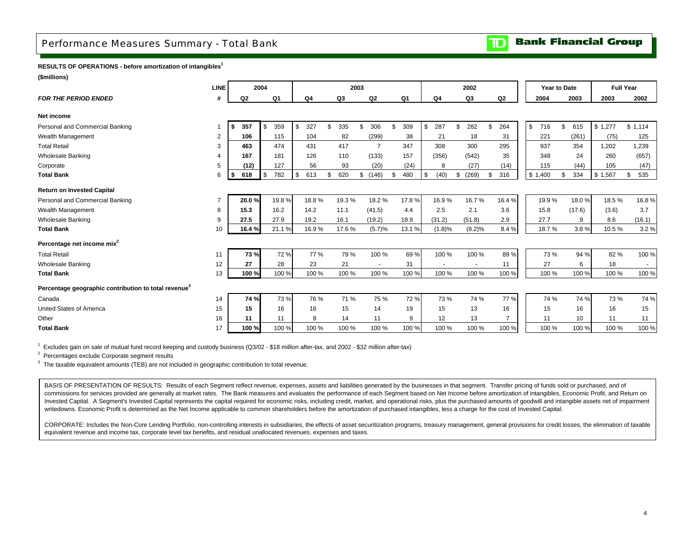## <span id="page-5-0"></span>Performance Measures Summary - Total Bank

#### **Bank Financial Group** םד

## **RESULTS OF OPERATIONS - before amortization of intangibles<sup>1</sup>**

**(\$millions)**

|                                                                  | <b>LINE</b> |                | 2004         |       |           |           | 2003 |                |           |            |     | 2002   |           | Year to Date |           |         | <b>Full Year</b> |
|------------------------------------------------------------------|-------------|----------------|--------------|-------|-----------|-----------|------|----------------|-----------|------------|-----|--------|-----------|--------------|-----------|---------|------------------|
| <b>FOR THE PERIOD ENDED</b>                                      | #           | Q <sub>2</sub> |              | Q1    | Q4        | Q3        |      | Q <sub>2</sub> | Q1        | Q4         |     | Q3     | Q2        | 2004         | 2003      | 2003    | 2002             |
| Net income                                                       |             |                |              |       |           |           |      |                |           |            |     |        |           |              |           |         |                  |
| Personal and Commercial Banking                                  |             | \$<br>357      | \$           | 359   | \$<br>327 | \$<br>335 | \$   | 306            | \$<br>309 | 287        | \$. | 282    | \$<br>264 | \$<br>716    | \$<br>615 | \$1,277 | \$1,114          |
| Wealth Management                                                | 2           | 106            |              | 115   | 104       | 82        |      | (299)          | 38        | 21         |     | 18     | 31        | 221          | (261)     | (75)    | 125              |
| <b>Total Retail</b>                                              | 3           | 463            |              | 474   | 431       | 417       |      | $\overline{7}$ | 347       | 308        |     | 300    | 295       | 937          | 354       | 1.202   | 1,239            |
| <b>Wholesale Banking</b>                                         |             | 167            |              | 181   | 126       | 110       |      | (133)          | 157       | (356)      |     | (542)  | 35        | 348          | 24        | 260     | (657)            |
| Corporate                                                        | 5           | (12)           |              | 127   | 56        | 93        |      | (20)           | (24)      | 8          |     | (27)   | (14)      | 115          | (44)      | 105     | (47)             |
| <b>Total Bank</b>                                                | 6           | 618<br>\$      | $\mathbf{s}$ | 782   | \$<br>613 | \$<br>620 |      | \$(146)        | \$<br>480 | \$<br>(40) | \$  | (269)  | 316       | \$1,400      | \$<br>334 | \$1,567 | 535<br>\$        |
| <b>Return on Invested Capital</b>                                |             |                |              |       |           |           |      |                |           |            |     |        |           |              |           |         |                  |
| Personal and Commercial Banking                                  |             | 20.0%          |              | 19.8% | 18.8%     | 19.3%     |      | 18.2%          | 17.8%     | 16.9%      |     | 16.7%  | 16.4%     | 19.9%        | 18.0%     | 18.5%   | 16.8%            |
| Wealth Management                                                | 8           | 15.3           |              | 16.2  | 14.2      | 11.1      |      | (41.5)         | 4.4       | 2.5        |     | 2.1    | 3.6       | 15.8         | (17.6)    | (3.6)   | 3.7              |
| <b>Wholesale Banking</b>                                         | 9           | 27.5           |              | 27.9  | 19.2      | 16.1      |      | (19.2)         | 18.9      | (31.2)     |     | (51.8) | 2.9       | 27.7         | .9        | 8.6     | (16.1)           |
| <b>Total Bank</b>                                                | 10          | 16.4%          |              | 21.1% | 16.9%     | 17.6%     |      | (5.7)%         | 13.1 %    | (1.8)%     |     | (8.2)% | 8.4%      | 18.7%        | 3.8%      | 10.5%   | 3.2%             |
| Percentage net income mix <sup>2</sup>                           |             |                |              |       |           |           |      |                |           |            |     |        |           |              |           |         |                  |
| <b>Total Retail</b>                                              | 11          | 73%            |              | 72%   | 77 %      | 79%       |      | 100 %          | 69%       | 100 %      |     | 100 %  | 89%       | 73 %         | 94 %      | 82%     | 100 %            |
| <b>Wholesale Banking</b>                                         | 12          | 27             |              | 28    | 23        | 21        |      | $\sim$         | 31        |            |     |        | 11        | 27           | 6         | 18      |                  |
| <b>Total Bank</b>                                                | 13          | 100%           |              | 100 % | 100 %     | 100 %     |      | 100 %          | 100 %     | 100 %      |     | 100 %  | 100 %     | 100 %        | 100 %     | 100 %   | 100 %            |
| Percentage geographic contribution to total revenue <sup>3</sup> |             |                |              |       |           |           |      |                |           |            |     |        |           |              |           |         |                  |
| Canada                                                           | 14          | 74 %           |              | 73%   | 76 %      | 71 %      |      | 75 %           | 72%       | 73 %       |     | 74 %   | 77 %      | 74 %         | 74 %      | 73 %    | 74 %             |
| United States of America                                         | 15          | 15             |              | 16    | 16        | 15        |      | 14             | 19        | 15         |     | 13     | 16        | 15           | 16        | 16      | 15               |
| Other                                                            | 16          | 11             |              | 11    | 8         | 14        |      | 11             | 9         | 12         |     | 13     |           | 11           | 10        | 11      | 11               |
| <b>Total Bank</b>                                                | 17          | 100 %          |              | 100 % | 100 %     | 100 %     |      | 100 %          | 100 %     | 100 %      |     | 100 %  | 100 %     | 100 %        | 100 %     | 100 %   | 100 %            |

1 Excludes gain on sale of mutual fund record keeping and custody business (Q3/02 - \$18 million after-tax, and 2002 - \$32 million after-tax)

 $2$  Percentages exclude Corporate segment results

<sup>3</sup> The taxable equivalent amounts (TEB) are not included in geographic contribution to total revenue.

BASIS OF PRESENTATION OF RESULTS: Results of each Segment reflect revenue, expenses, assets and liabilities generated by the businesses in that segment. Transfer pricing of funds sold or purchased, and of commissions for services provided are generally at market rates. The Bank measures and evaluates the performance of each Segment based on Net Income before amortization of intangibles, Economic Profit, and Return on Invested Capital. A Segment's Invested Capital represents the capital required for economic risks, including credit, market, and operational risks, plus the purchased amounts of goodwill and intangible assets net of impair writedowns. Economic Profit is determined as the Net Income applicable to common shareholders before the amortization of purchased intangibles, less a charge for the cost of Invested Capital.

CORPORATE: Includes the Non-Core Lending Portfolio, non-controlling interests in subsidiaries, the effects of asset securitization programs, treasury management, general provisions for credit losses, the elimination of tax equivalent revenue and income tax, corporate level tax benefits, and residual unallocated revenues, expenses and taxes.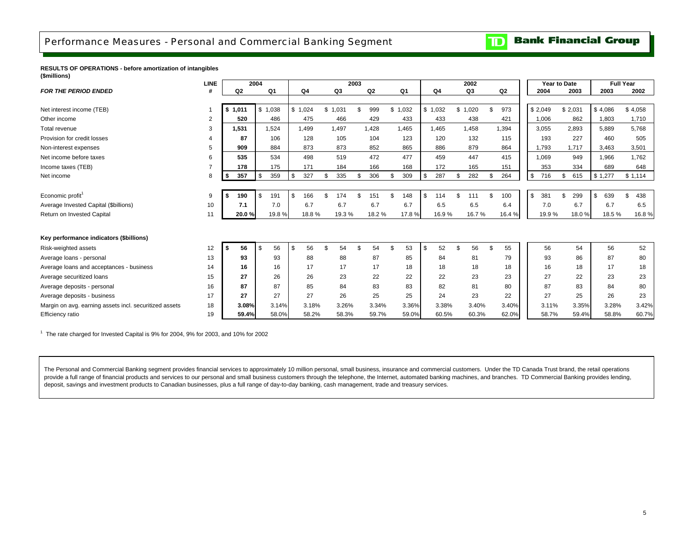# <span id="page-6-0"></span>Performance Measures - Personal and Commercial Banking Segment

#### **Bank Financial Group**  $\overline{\mathbf{D}}$

#### **RESULTS OF OPERATIONS - before amortization of intangibles (\$millions)**

|                                                        | <b>LINE</b>    |                   | 2004        |           |         | 2003 |                |         |           | 2002     |                | Year to Date |           |           | <b>Full Year</b> |
|--------------------------------------------------------|----------------|-------------------|-------------|-----------|---------|------|----------------|---------|-----------|----------|----------------|--------------|-----------|-----------|------------------|
| <b>FOR THE PERIOD ENDED</b>                            |                | Q <sub>2</sub>    | Q1          | Q4        | Q3      |      | Q <sub>2</sub> | Q1      | Q4        | Q3       | Q <sub>2</sub> | 2004         | 2003      | 2003      | 2002             |
|                                                        |                |                   |             |           |         |      |                |         |           |          |                |              |           |           |                  |
| Net interest income (TEB)                              |                | \$1,011           | \$1,038     | \$1,024   | \$1,031 | \$   | 999            | \$1,032 | \$1,032   | \$1,020  | 973            | \$2,049      | \$2,031   | \$4,086   | \$4,058          |
| Other income                                           | $\overline{2}$ | 520               | 486         | 475       | 466     |      | 429            | 433     | 433       | 438      | 421            | 1.006        | 862       | 1.803     | 1,710            |
| Total revenue                                          | 3              | 1,531             | 1,524       | 1,499     | 1,497   |      | 1,428          | 1,465   | 1,465     | 1,458    | 1,394          | 3,055        | 2,893     | 5.889     | 5,768            |
| Provision for credit losses                            |                | 87                | 106         | 128       | 105     |      | 104            | 123     | 120       | 132      | 115            | 193          | 227       | 460       | 505              |
| Non-interest expenses                                  | 5              | 909               | 884         | 873       | 873     |      | 852            | 865     | 886       | 879      | 864            | 1,793        | 1,717     | 3,463     | 3,501            |
| Net income before taxes                                | 6              | 535               | 534         | 498       | 519     |      | 472            | 477     | 459       | 447      | 415            | 1.069        | 949       | 1.966     | 1.762            |
| Income taxes (TEB)                                     |                | 178               | 175         | 171       | 184     |      | 166            | 168     | 172       | 165      | 151            | 353          | 334       | 689       | 648              |
| Net income                                             | 8              | 357<br>$\sqrt{2}$ | 359<br>l \$ | \$<br>327 | 335     |      | 306            | 309     | \$<br>287 | 282      | 264            | \$<br>716    | \$<br>615 | \$1,277   | \$1,114          |
|                                                        |                |                   |             |           |         |      |                |         |           |          |                |              |           |           |                  |
| Economic profit <sup>1</sup>                           | 9              | 190               | . \$<br>191 | \$<br>166 | 174     |      | 151            | 148     | \$<br>114 | 111      | 100            | \$<br>381    | \$<br>299 | \$<br>639 | 438<br>ድ         |
| Average Invested Capital (\$billions)                  | 10             | 7.1               | 7.0         | 6.7       | 6.7     |      | 6.7            | 6.7     | 6.5       | 6.5      | 6.4            | 7.0          | 6.7       | 6.7       | 6.5              |
| Return on Invested Capital                             | 11             | 20.0%             | 19.8%       | 18.8%     | 19.3%   |      | 18.2 %         | 17.8%   | 16.9%     | 16.7%    | 16.4%          | 19.9%        | 18.0%     | 18.5%     | 16.8%            |
|                                                        |                |                   |             |           |         |      |                |         |           |          |                |              |           |           |                  |
| Key performance indicators (\$billions)                |                |                   |             |           |         |      |                |         |           |          |                |              |           |           |                  |
| Risk-weighted assets                                   | 12             | 56<br>s.          | 56<br>\$    | \$<br>56  | 54      |      | 54             | 53      | \$<br>52  | \$<br>56 | \$<br>55       | 56           | 54        | 56        | 52               |
| Average loans - personal                               | 13             | 93                | 93          | 88        | 88      |      | 87             | 85      | 84        | 81       | 79             | 93           | 86        | 87        | 80               |
| Average loans and acceptances - business               | 14             | 16                | 16          | 17        | 17      |      | 17             | 18      | 18        | 18       | 18             | 16           | 18        | 17        | 18               |
| Average securitized loans                              | 15             | 27                | 26          | 26        | 23      |      | 22             | 22      | 22        | 23       | 23             | 27           | 22        | 23        | 23               |
| Average deposits - personal                            | 16             | 87                | 87          | 85        | 84      |      | 83             | 83      | 82        | 81       | 80             | 87           | 83        | 84        | 80               |
| Average deposits - business                            | 17             | 27                | 27          | 27        | 26      |      | 25             | 25      | 24        | 23       | 22             | 27           | 25        | 26        | 23               |
| Margin on avg. earning assets incl. securitized assets | 18             | 3.08%             | 3.14%       | 3.18%     | 3.26%   |      | 3.34%          | 3.36%   | 3.38%     | 3.40%    | 3.40%          | 3.11%        | 3.35%     | 3.28%     | 3.42%            |
| Efficiency ratio                                       | 19             | 59.4%             | 58.0%       | 58.2%     | 58.3%   |      | 59.7%          | 59.0%   | 60.5%     | 60.3%    | 62.0%          | 58.7%        | 59.4%     | 58.8%     | 60.7%            |

 $1$  The rate charged for Invested Capital is 9% for 2004, 9% for 2003, and 10% for 2002

The Personal and Commercial Banking segment provides financial services to approximately 10 million personal, small business, insurance and commercial customers. Under the TD Canada Trust brand, the retail operations provide a full range of financial products and services to our personal and small business customers through the telephone, the Internet, automated banking machines, and branches. TD Commercial Banking provides lending, deposit, savings and investment products to Canadian businesses, plus a full range of day-to-day banking, cash management, trade and treasury services.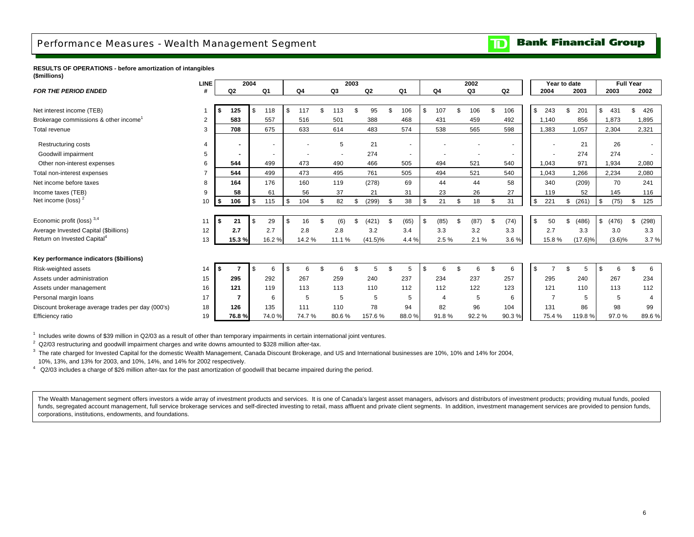## <span id="page-7-0"></span>Performance Measures - Wealth Management Segment

**Bank Financial Group**  $\overline{\mathbf{D}}$ 

**RESULTS OF OPERATIONS - before amortization of intangibles (\$millions)**

|                                                   | LINE           |                | 2004          |       |           |           | 2003 |                |                |       |                | 2002     |     |                |     | Year to date        |                |            | Full Year   |     |       |
|---------------------------------------------------|----------------|----------------|---------------|-------|-----------|-----------|------|----------------|----------------|-------|----------------|----------|-----|----------------|-----|---------------------|----------------|------------|-------------|-----|-------|
| <b>FOR THE PERIOD ENDED</b>                       |                | Q <sub>2</sub> |               | Q1    | Q4        | Q3        |      | Q <sub>2</sub> |                | Q1    | Q <sub>4</sub> | Q3       |     | Q <sub>2</sub> |     | 2004                |                | 2003       | 2003        |     | 2002  |
|                                                   |                |                |               |       |           |           |      |                |                |       |                |          |     |                |     |                     |                |            |             |     |       |
| Net interest income (TEB)                         |                | 125            | <b>S</b>      | 118   | \$<br>117 | \$<br>113 |      | 95             |                | 106   | \$<br>107      | 106      |     | 106            |     | $\mathbb{S}$<br>243 | $\mathfrak{s}$ | 201        | \$<br>431   | \$. | 426   |
| Brokerage commissions & other income <sup>1</sup> | 2              | 583            |               | 557   | 516       | 501       |      | 388            |                | 468   | 431            | 459      |     | 492            |     | 1,140               |                | 856        | .873        |     | 1,895 |
| Total revenue                                     | 3              | 708            |               | 675   | 633       | 614       |      | 483            |                | 574   | 538            | 565      |     | 598            |     | 1,383               |                | 1,057      | 2,304       |     | 2,321 |
| Restructuring costs                               | 4              | $\blacksquare$ |               |       |           | 5         |      | 21             |                |       |                |          |     |                |     |                     |                | 21         | 26          |     |       |
| Goodwill impairment                               | 5              | $\blacksquare$ |               |       |           |           |      | 274            |                |       |                |          |     | $\sim$         |     |                     |                | 274        | 274         |     |       |
| Other non-interest expenses                       | 6              | 544            |               | 499   | 473       | 490       |      | 466            |                | 505   | 494            | 521      |     | 540            |     | 1,043               |                | 971        | 1,934       |     | 2,080 |
| Total non-interest expenses                       | $\overline{7}$ | 544            |               | 499   | 473       | 495       |      | 761            |                | 505   | 494            | 521      |     | 540            |     | 1,043               |                | 1,266      | 2,234       |     | 2,080 |
| Net income before taxes                           | 8              | 164            |               | 176   | 160       | 119       |      | (278)          |                | 69    | 44             | 44       |     | 58             |     | 340                 |                | (209)      | 70          |     | 241   |
| Income taxes (TEB)                                | 9              | 58             |               | 61    | 56        | 37        |      | 21             |                | 31    | 23             | 26       |     | 27             |     | 119                 |                | 52         | 145         |     | 116   |
| Net income (loss) <sup>2</sup>                    | 10             | 106            | $\mathfrak s$ | 115   | \$<br>104 | \$<br>82  |      | (299)          | -S             | 38    | \$<br>21       | \$<br>18 | \$  | 31             | \$  | 221                 | \$             | (261)      | \$<br>(75)  | \$  | 125   |
|                                                   |                |                |               |       |           |           |      |                |                |       |                |          |     |                |     |                     |                |            |             |     |       |
| Economic profit (loss) 3,4                        | 11             | 21             | -S            | 29    | \$<br>16  | (6)       |      | (421)          | -9             | (65)  | \$<br>(85)     | (87)     | \$. | (74)           | \$. | 50                  | \$             | (486)      | \$<br>(476) | \$  | (298) |
| Average Invested Capital (\$billions)             | 12             | 2.7            |               | 2.7   | 2.8       | 2.8       |      | 3.2            |                | 3.4   | 3.3            | 3.2      |     | 3.3            |     | 2.7                 |                | 3.3        | 3.0         |     | 3.3   |
| Return on Invested Capital <sup>4</sup>           | 13             | 15.3%          |               | 16.2% | 14.2%     | 11.1 %    |      | $(41.5)\%$     |                | 4.4 % | 2.5 %          | 2.1%     |     | 3.6%           |     | 15.8%               |                | $(17.6)\%$ | $(3.6)\%$   |     | 3.7%  |
|                                                   |                |                |               |       |           |           |      |                |                |       |                |          |     |                |     |                     |                |            |             |     |       |
| Key performance indicators (\$billions)           |                |                |               |       |           |           |      |                |                |       |                |          |     |                |     |                     |                |            |             |     |       |
| Risk-weighted assets                              | 14             |                | <b>S</b>      | 6     | \$<br>6   | \$        |      | 5              | $\mathfrak{L}$ | 5     | \$<br>6        | 6        |     | 6              | \$  |                     | £.             |            | \$          | \$  | 6     |
| Assets under administration                       | 15             | 295            |               | 292   | 267       | 259       |      | 240            |                | 237   | 234            | 237      |     | 257            |     | 295                 |                | 240        | 267         |     | 234   |
| Assets under management                           | 16             | 121            |               | 119   | 113       | 113       |      | 110            |                | 112   | 112            | 122      |     | 123            |     | 121                 |                | 110        | 113         |     | 112   |
| Personal margin loans                             | 17             | $\overline{7}$ |               | 6     | 5         | 5         |      | 5              |                | 5     | 4              | 5        |     | 6              |     |                     |                | 5          | 5           |     | 4     |
| Discount brokerage average trades per day (000's) | 18             | 126            |               | 135   | 111       | 110       |      | 78             |                | 94    | 82             | 96       |     | 104            |     | 131                 |                | 86         | 98          |     | 99    |
| Efficiency ratio                                  | 19             | 76.8%          |               | 74.0% | 74.7%     | 80.6%     |      | 157.6%         |                | 88.0% | 91.8%          | 92.2%    |     | 90.3%          |     | 75.4%               |                | 119.8%     | 97.0%       |     | 89.6% |

<sup>1</sup> Includes write downs of \$39 million in Q2/03 as a result of other than temporary impairments in certain international joint ventures.

 $2$  Q2/03 restructuring and goodwill impairment charges and write downs amounted to \$328 million after-tax.

 $^3$  The rate charged for Invested Capital for the domestic Wealth Management, Canada Discount Brokerage, and US and International businesses are 10%, 10% and 14% for 2004,

10%, 13%, and 13% for 2003, and 10%, 14%, and 14% for 2002 respectively.

 $4\alpha$  Q2/03 includes a charge of \$26 million after-tax for the past amortization of goodwill that became impaired during the period.

The Wealth Management segment offers investors a wide array of investment products and services. It is one of Canada's largest asset managers, advisors and distributors of investment products; providing mutual funds, poole funds, segregated account management, full service brokerage services and self-directed investing to retail, mass affluent and private client segments. In addition, investment management services are provided to pension fu corporations, institutions, endowments, and foundations.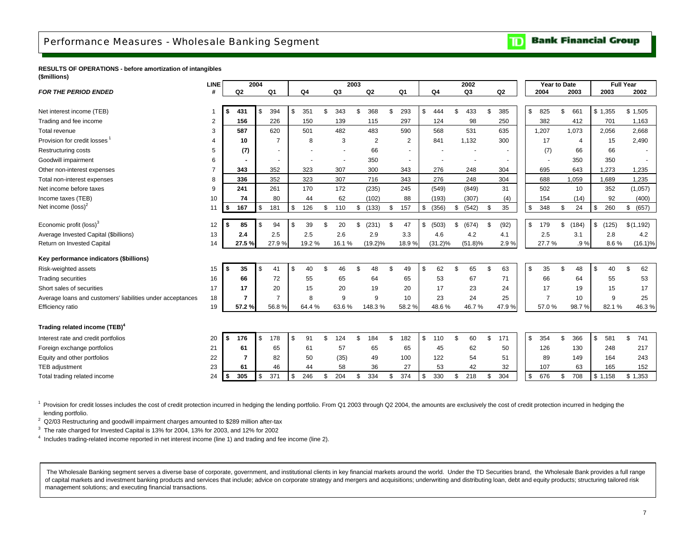#### **Bank Financial Group** TD

#### <span id="page-8-0"></span>**RESULTS OF OPERATIONS - before amortization of intangibles (\$millions)**

| <b>FOR THE PERIOD ENDED</b><br>Q <sub>1</sub><br>Q4<br>Q3<br>Q <sub>2</sub><br>Q <sub>1</sub><br>Q4<br>Q3<br>Q <sub>2</sub><br>2003<br>Q2<br>2004<br>2003<br>#<br>\$<br>394<br>\$<br>\$<br>\$<br>431<br>351<br>343<br>\$<br>368<br>\$.<br>293<br>444<br>£.<br>433<br>\$<br>385<br>\$<br>825<br>661<br>\$1,355<br>\$<br>Net interest income (TEB)<br>Trading and fee income<br>156<br>226<br>150<br>139<br>297<br>124<br>98<br>250<br>382<br>701<br>2<br>115<br>412<br>620<br>501<br>482<br>483<br>590<br>568<br>531<br>1,207<br>1,073<br>587<br>635<br>2,056<br>Total revenue<br>3 | 2002<br>\$1,505<br>1,163<br>2,668<br>2,490<br>1,235<br>1,235 |
|------------------------------------------------------------------------------------------------------------------------------------------------------------------------------------------------------------------------------------------------------------------------------------------------------------------------------------------------------------------------------------------------------------------------------------------------------------------------------------------------------------------------------------------------------------------------------------|--------------------------------------------------------------|
|                                                                                                                                                                                                                                                                                                                                                                                                                                                                                                                                                                                    |                                                              |
|                                                                                                                                                                                                                                                                                                                                                                                                                                                                                                                                                                                    |                                                              |
|                                                                                                                                                                                                                                                                                                                                                                                                                                                                                                                                                                                    |                                                              |
|                                                                                                                                                                                                                                                                                                                                                                                                                                                                                                                                                                                    |                                                              |
|                                                                                                                                                                                                                                                                                                                                                                                                                                                                                                                                                                                    |                                                              |
| Provision for credit losses<br>841<br>1,132<br>300<br>$\overline{7}$<br>8<br>3<br>2<br>$\overline{2}$<br>17<br>15<br>10<br>4                                                                                                                                                                                                                                                                                                                                                                                                                                                       |                                                              |
| Restructuring costs<br>(7)<br>66<br>(7)<br>5<br>66<br>66                                                                                                                                                                                                                                                                                                                                                                                                                                                                                                                           |                                                              |
| Goodwill impairment<br>350<br>350<br>350<br>6                                                                                                                                                                                                                                                                                                                                                                                                                                                                                                                                      |                                                              |
| 352<br>695<br>Other non-interest expenses<br>343<br>323<br>307<br>300<br>343<br>276<br>248<br>304<br>643<br>1,273                                                                                                                                                                                                                                                                                                                                                                                                                                                                  |                                                              |
| 352<br>323<br>307<br>716<br>343<br>276<br>248<br>304<br>1,689<br>336<br>688<br>1,059<br>Total non-interest expenses<br>8                                                                                                                                                                                                                                                                                                                                                                                                                                                           |                                                              |
| 172<br>241<br>261<br>170<br>(235)<br>245<br>(549)<br>(849)<br>31<br>502<br>10<br>352<br>Net income before taxes<br>9                                                                                                                                                                                                                                                                                                                                                                                                                                                               | (1,057)                                                      |
| 62<br>(102)<br>(307)<br>Income taxes (TEB)<br>10<br>74<br>80<br>44<br>88<br>(193)<br>(14)<br>92<br>(4)<br>154                                                                                                                                                                                                                                                                                                                                                                                                                                                                      | (400)                                                        |
| Net income (loss) <sup>2</sup><br>$\mathbb S$<br>\$<br>126<br>157<br>(356)<br>(542)<br>35<br>\$<br>348<br>\$<br>24<br>260<br>$\sqrt{2}$<br>167<br>181<br>110<br>(133)<br>\$<br>\$<br>\$<br>\$<br>11<br>\$<br>\$<br>\$                                                                                                                                                                                                                                                                                                                                                              | (657)<br>\$                                                  |
|                                                                                                                                                                                                                                                                                                                                                                                                                                                                                                                                                                                    |                                                              |
| \$<br>\$<br>Economic profit (loss) <sup>3</sup><br>85<br>\$<br>39<br>(92)<br>\$<br>(184)<br>\$<br>94<br>20<br>(231)<br>\$<br>47<br>\$<br>(503)<br>(674)<br>\$<br>179<br>\$<br>(125)<br>12<br>\$.                                                                                                                                                                                                                                                                                                                                                                                   | \$(1,192)                                                    |
| Average Invested Capital (\$billions)<br>13<br>2.4<br>2.5<br>2.5<br>2.6<br>2.9<br>3.3<br>4.1<br>2.5<br>3.1<br>4.6<br>4.2<br>2.8                                                                                                                                                                                                                                                                                                                                                                                                                                                    | 4.2                                                          |
| 27.5 %<br>27.9%<br>19.2%<br>$(19.2)\%$<br>$(31.2)\%$<br>27.7%<br>14<br>16.1%<br>18.9%<br>$(51.8)\%$<br>2.9%<br>.9%<br>8.6%<br>Return on Invested Capital                                                                                                                                                                                                                                                                                                                                                                                                                           | $(16.1)\%$                                                   |
| Key performance indicators (\$billions)                                                                                                                                                                                                                                                                                                                                                                                                                                                                                                                                            |                                                              |
| \$<br>\$<br>\$<br>35<br>\$<br>40<br>46<br>48<br>\$<br>49<br>\$<br>62<br>65<br>\$<br>63<br>35<br>\$<br>48<br>\$<br>40<br>15<br>41<br>\$<br>\$<br>Risk-weighted assets                                                                                                                                                                                                                                                                                                                                                                                                               | \$<br>62                                                     |
| 16<br>66<br>72<br>55<br>65<br>64<br>65<br>53<br>67<br>71<br>66<br>55<br><b>Trading securities</b><br>64                                                                                                                                                                                                                                                                                                                                                                                                                                                                            | 53                                                           |
| 17<br>17<br>15<br>20<br>17<br>23<br>17<br>Short sales of securities<br>20<br>19<br>20<br>24<br>15<br>19                                                                                                                                                                                                                                                                                                                                                                                                                                                                            | 17                                                           |
| 24<br>Average loans and customers' liabilities under acceptances<br>18<br>$\overline{7}$<br>$\overline{7}$<br>8<br>9<br>9<br>23<br>25<br>$\overline{7}$<br>10<br>9<br>10                                                                                                                                                                                                                                                                                                                                                                                                           | 25                                                           |
| 19<br>57.2%<br>56.8%<br>64.4%<br>63.6%<br>148.3%<br>58.2%<br>48.6%<br>46.7%<br>47.9%<br>57.0%<br>98.7%<br>82.1%<br>Efficiency ratio                                                                                                                                                                                                                                                                                                                                                                                                                                                | 46.3%                                                        |
|                                                                                                                                                                                                                                                                                                                                                                                                                                                                                                                                                                                    |                                                              |
| Trading related income (TEB) <sup>4</sup>                                                                                                                                                                                                                                                                                                                                                                                                                                                                                                                                          |                                                              |
| \$<br>\$<br>\$<br>178<br>91<br>182<br>60<br>\$<br>171<br>\$<br>354<br>\$<br>366<br>\$<br>Interest rate and credit portfolios<br>20<br>\$<br>176<br>124<br>\$<br>184<br>\$<br>110<br>\$<br>581                                                                                                                                                                                                                                                                                                                                                                                      | \$<br>741                                                    |
| 57<br>65<br>45<br>62<br>21<br>61<br>65<br>61<br>65<br>50<br>126<br>130<br>248<br>Foreign exchange portfolios                                                                                                                                                                                                                                                                                                                                                                                                                                                                       | 217                                                          |
| 54<br>Equity and other portfolios<br>50<br>(35)<br>49<br>100<br>122<br>89<br>164<br>22<br>7<br>82<br>51<br>149                                                                                                                                                                                                                                                                                                                                                                                                                                                                     | 243                                                          |
| TEB adjustment<br>23<br>61<br>46<br>58<br>36<br>27<br>53<br>42<br>32<br>107<br>44<br>63<br>165                                                                                                                                                                                                                                                                                                                                                                                                                                                                                     | 152                                                          |
| 305<br>371<br>\$<br>204<br>334<br>374<br>330<br>304<br>\$<br>708<br>24<br>\$<br>246<br>\$<br>218<br>\$<br>676<br>\$<br>\$1,158<br>Total trading related income<br>\$<br>\$<br>\$<br>  \$                                                                                                                                                                                                                                                                                                                                                                                           | \$1,353                                                      |

 $1$  Provision for credit losses includes the cost of credit protection incurred in hedging the lending portfolio. From Q1 2003 through Q2 2004, the amounts are exclusively the cost of credit protection incurred in hedging lending portfolio.

 $2$  Q2/03 Restructuring and goodwill impairment charges amounted to \$289 million after-tax

 $3$  The rate charged for Invested Capital is 13% for 2004, 13% for 2003, and 12% for 2002

4 Includes trading-related income reported in net interest income (line 1) and trading and fee income (line 2).

The Wholesale Banking segment serves a diverse base of corporate, government, and institutional clients in key financial markets around the world. Under the TD Securities brand, the Wholesale Bank provides a full range of capital markets and investment banking products and services that include; advice on corporate strategy and mergers and acquisitions; underwriting and distributing loan, debt and equity products; structuring tailored risk management solutions; and executing financial transactions.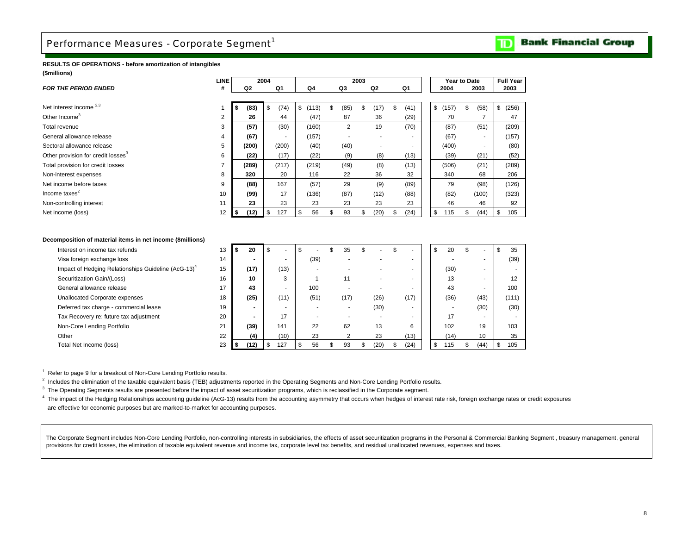#### **Bank Financial Group** וסד

## <span id="page-9-0"></span>**RESULTS OF OPERATIONS - before amortization of intangibles (\$millions)**

|                                                | <b>LINE</b>    |           | 2004                     |             |                          | 2003                     |             |           | Year to Date             | <b>Full Year</b> |
|------------------------------------------------|----------------|-----------|--------------------------|-------------|--------------------------|--------------------------|-------------|-----------|--------------------------|------------------|
| <b>FOR THE PERIOD ENDED</b>                    | #              | Q2        | Q1                       | Q4          | Q3                       | Q2                       | Q1          | 2004      | 2003                     | 2003             |
|                                                |                |           |                          |             |                          |                          |             |           |                          |                  |
| Net interest income <sup>2,3</sup>             |                | (83)<br>ж | \$<br>(74)               | \$<br>(113) | \$<br>(85)               | (17)<br>\$               | \$<br>(41)  | \$(157)   | (58)<br>\$               | \$<br>(256)      |
| Other Income <sup>3</sup>                      | 2              | 26        | 44                       | (47)        | 87                       | 36                       | (29)        | 70        |                          | 47               |
| Total revenue                                  | 3              | (57)      | (30)                     | (160)       | $\overline{2}$           | 19                       | (70)        | (87)      | (51)                     | (209)            |
| General allowance release                      | 4              | (67)      | $\overline{\phantom{a}}$ | (157)       | $\overline{\phantom{a}}$ | $\overline{\phantom{a}}$ | ۰           | (67)      | $\overline{\phantom{a}}$ | (157)            |
| Sectoral allowance release                     | 5              | (200)     | (200)                    | (40)        | (40)                     | $\overline{\phantom{a}}$ |             | (400)     | ۰                        | (80)             |
| Other provision for credit losses <sup>3</sup> | 6              | (22)      | (17)                     | (22)        | (9)                      | (8)                      | (13)        | (39)      | (21)                     | (52)             |
| Total provision for credit losses              | $\overline{ }$ | (289)     | (217)                    | (219)       | (49)                     | (8)                      | (13)        | (506)     | (21)                     | (289)            |
| Non-interest expenses                          | 8              | 320       | 20                       | 116         | 22                       | 36                       | 32          | 340       | 68                       | 206              |
| Net income before taxes                        | 9              | (88)      | 167                      | (57)        | 29                       | (9)                      | (89)        | 79        | (98)                     | (126)            |
| Income taxes <sup>2</sup>                      | 10             | (99)      | 17                       | (136)       | (87)                     | (12)                     | (88)        | (82)      | (100)                    | (323)            |
| Non-controlling interest                       | 11             | 23        | 23                       | 23          | 23                       | 23                       | 23          | 46        | 46                       | 92               |
| Net income (loss)                              | 12             | (12)      | \$<br>127                | 56          | 93                       | (20)                     | (24)<br>\$. | \$<br>115 | (44)<br>\$               | 105<br>£.        |

#### **Decomposition of material items in net income (\$millions)**

| Interest on income tax refunds                                  | 13 | 20   |                          | S    | -S |      | 35                       | $\overline{\phantom{a}}$ | \$<br>$\overline{\phantom{a}}$ | \$<br>20  | эħ |      | 35    |
|-----------------------------------------------------------------|----|------|--------------------------|------|----|------|--------------------------|--------------------------|--------------------------------|-----------|----|------|-------|
| Visa foreign exchange loss                                      | 14 |      | $\overline{\phantom{a}}$ |      |    | (39) |                          |                          | . .                            |           |    |      | (39)  |
| Impact of Hedging Relationships Guideline (AcG-13) <sup>4</sup> | 15 | (17) |                          | (13) |    |      |                          |                          |                                | (30)      |    |      |       |
| Securitization Gain/(Loss)                                      | 16 | 10   |                          | 3    |    |      | 11                       | -                        |                                | 13        |    |      | 12    |
| General allowance release                                       | 17 | 43   |                          |      |    | 100  |                          |                          |                                | 43        |    |      | 100   |
| Unallocated Corporate expenses                                  | 18 | (25) |                          | (11) |    | (51) | (17)                     | (26)                     | (17)                           | (36)      |    | (43) | (111) |
| Deferred tax charge - commercial lease                          | 19 |      | $\overline{\phantom{a}}$ |      |    |      | $\overline{\phantom{a}}$ | (30)                     |                                |           |    | (30) | (30)  |
| Tax Recovery re: future tax adjustment                          | 20 |      |                          | 17   |    |      |                          |                          |                                | 17        |    |      |       |
| Non-Core Lending Portfolio                                      | 21 | (39) |                          | 141  |    | 22   | 62                       | 13                       | 6                              | 102       |    | 19   | 103   |
| Other                                                           | 22 |      | (4)                      | (10) |    | 23   | 2                        | 23                       | (13)                           | (14)      |    | 10   | 35    |
| Total Net Income (loss)                                         | 23 | (12) |                          | 127  |    | 56   | 93                       | (20)                     | (24)                           | \$<br>115 |    | (44) | 105   |
|                                                                 |    |      |                          |      |    |      |                          |                          |                                |           |    |      |       |

<sup>1</sup> Refer to page 9 for a breakout of Non-Core Lending Portfolio results.

<sup>2</sup> Includes the elimination of the taxable equivalent basis (TEB) adjustments reported in the Operating Segments and Non-Core Lending Portfolio results.

<sup>3</sup> The Operating Segments results are presented before the impact of asset securitization programs, which is reclassified in the Corporate segment.

<sup>4</sup> The impact of the Hedging Relationships accounting guideline (AcG-13) results from the accounting asymmetry that occurs when hedges of interest rate risk, foreign exchange rates or credit exposures are effective for economic purposes but are marked-to-market for accounting purposes.

The Corporate Segment includes Non-Core Lending Portfolio, non-controlling interests in subsidiaries, the effects of asset securitization programs in the Personal & Commercial Banking Segment, treasury management, general provisions for credit losses, the elimination of taxable equivalent revenue and income tax, corporate level tax benefits, and residual unallocated revenues, expenses and taxes.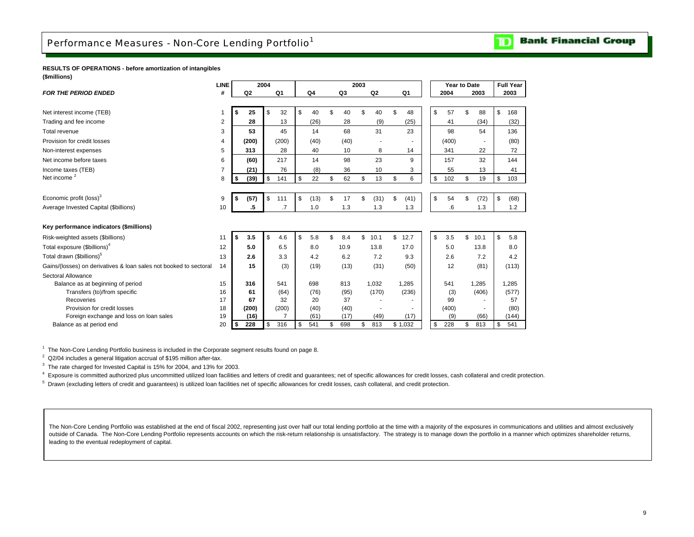## <span id="page-10-0"></span>**RESULTS OF OPERATIONS - before amortization of intangibles (\$millions)**

|                                                                   | <b>LINE</b>    |            | 2004 |                 |                |                | 2003 |       |    |         | Year to Date |            | <b>Full Year</b> |
|-------------------------------------------------------------------|----------------|------------|------|-----------------|----------------|----------------|------|-------|----|---------|--------------|------------|------------------|
| <b>FOR THE PERIOD ENDED</b>                                       | #              | Q2         |      | Q1              | Q <sub>4</sub> | Q <sub>3</sub> |      | Q2    |    | Q1      | 2004         | 2003       | 2003             |
|                                                                   |                |            |      |                 |                |                |      |       |    |         |              |            |                  |
| Net interest income (TEB)                                         |                | \$<br>25   | \$   | 32              | \$<br>40       | \$<br>40       | \$   | 40    | £. | 48      | \$<br>57     | \$<br>88   | \$<br>168        |
| Trading and fee income                                            | $\overline{2}$ | 28         |      | 13              | (26)           | 28             |      | (9)   |    | (25)    | 41           | (34)       | (32)             |
| Total revenue                                                     | 3              | 53         |      | 45              | 14             | 68             |      | 31    |    | 23      | 98           | 54         | 136              |
| Provision for credit losses                                       | $\overline{4}$ | (200)      |      | (200)           | (40)           | (40)           |      |       |    |         | (400)        |            | (80)             |
| Non-interest expenses                                             | 5              | 313        |      | 28              | 40             | 10             |      | 8     |    | 14      | 341          | 22         | 72               |
| Net income before taxes                                           | 6              | (60)       |      | 217             | 14             | 98             |      | 23    |    | 9       | 157          | 32         | 144              |
| Income taxes (TEB)                                                | $\overline{7}$ | (21)       |      | 76              | (8)            | 36             |      | 10    |    | 3       | 55           | 13         | 41               |
| Net income <sup>2</sup>                                           | 8              | \$<br>(39) | \$   | 141             | \$<br>22       | \$<br>62       | \$   | 13    | \$ | 6       | \$<br>102    | \$<br>19   | \$<br>103        |
|                                                                   |                |            |      |                 |                |                |      |       |    |         |              |            |                  |
| Economic profit (loss) <sup>3</sup>                               | 9              | \$<br>(57) | \$   | 111             | \$<br>(13)     | \$<br>17       | \$   | (31)  | \$ | (41)    | \$<br>54     | \$<br>(72) | \$<br>(68)       |
| Average Invested Capital (\$billions)                             | 10             | .5         |      | $\overline{.7}$ | 1.0            | 1.3            |      | 1.3   |    | 1.3     | .6           | 1.3        | 1.2              |
|                                                                   |                |            |      |                 |                |                |      |       |    |         |              |            |                  |
| Key performance indicators (\$millions)                           |                |            |      |                 |                |                |      |       |    |         |              |            |                  |
| Risk-weighted assets (\$billions)                                 | 11             | \$<br>3.5  | \$   | 4.6             | \$<br>5.8      | \$<br>8.4      | \$   | 10.1  | \$ | 12.7    | \$<br>3.5    | \$<br>10.1 | \$<br>5.8        |
| Total exposure (\$billions) <sup>4</sup>                          | 12             | 5.0        |      | 6.5             | 8.0            | 10.9           |      | 13.8  |    | 17.0    | 5.0          | 13.8       | 8.0              |
| Total drawn (\$billions) <sup>5</sup>                             | 13             | 2.6        |      | 3.3             | 4.2            | 6.2            |      | 7.2   |    | 9.3     | 2.6          | 7.2        | 4.2              |
| Gains/(losses) on derivatives & loan sales not booked to sectoral | 14             | 15         |      | (3)             | (19)           | (13)           |      | (31)  |    | (50)    | 12           | (81)       | (113)            |
| Sectoral Allowance                                                |                |            |      |                 |                |                |      |       |    |         |              |            |                  |
| Balance as at beginning of period                                 | 15             | 316        |      | 541             | 698            | 813            |      | 1,032 |    | 1.285   | 541          | 1.285      | 1.285            |
| Transfers (to)/from specific                                      | 16             | 61         |      | (64)            | (76)           | (95)           |      | (170) |    | (236)   | (3)          | (406)      | (577)            |
| Recoveries                                                        | 17             | 67         |      | 32              | 20             | 37             |      |       |    |         | 99           |            | 57               |
| Provision for credit losses                                       | 18             | (200)      |      | (200)           | (40)           | (40)           |      |       |    |         | (400)        |            | (80)             |
| Foreign exchange and loss on loan sales                           | 19             | (16)       |      |                 | (61)           | (17)           |      | (49)  |    | (17)    | (9)          | (66)       | (144)            |
| Balance as at period end                                          | 20             | \$<br>228  | \$   | 316             | \$<br>541      | \$<br>698      | \$   | 813   |    | \$1,032 | \$<br>228    | \$<br>813  | \$<br>541        |

<sup>1</sup> The Non-Core Lending Portfolio business is included in the Corporate segment results found on page 8.

 $2$  Q2/04 includes a general litigation accrual of \$195 million after-tax.

 $3$  The rate charged for Invested Capital is 15% for 2004, and 13% for 2003.

<sup>4</sup> Exposure is committed authorized plus uncommitted utilized loan facilities and letters of credit and guarantees; net of specific allowances for credit losses, cash collateral and credit protection.

<sup>5</sup> Drawn (excluding letters of credit and guarantees) is utilized loan facilities net of specific allowances for credit losses, cash collateral, and credit protection.

The Non-Core Lending Portfolio was established at the end of fiscal 2002, representing just over half our total lending portfolio at the time with a majority of the exposures in communications and utilities and almost excl outside of Canada. The Non-Core Lending Portfolio represents accounts on which the risk-return relationship is unsatisfactory. The strategy is to manage down the portfolio in a manner which optimizes shareholder returns, leading to the eventual redeployment of capital.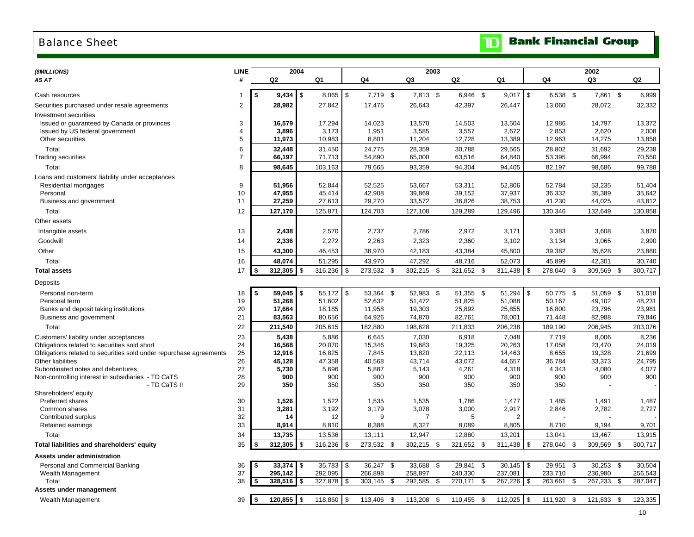# <span id="page-11-0"></span>Balance Sheet

## **Bank Financial Group**  $\mathbf{D}$

| (\$MILLIONS)                                                       | LINE           |    | 2004         |                           |            |            |     | 2003            |           |      |            |               |           |      | 2002     |               |
|--------------------------------------------------------------------|----------------|----|--------------|---------------------------|------------|------------|-----|-----------------|-----------|------|------------|---------------|-----------|------|----------|---------------|
| AS AT                                                              | #              | Q2 |              | Q1                        |            | Q4         |     | Q3              | Q2        | Q1   |            |               | Q4        |      | Q3       | Q2            |
|                                                                    |                |    |              |                           |            |            |     |                 |           |      |            |               |           |      |          |               |
| Cash resources                                                     | 1              | S. |              |                           | $8,065$ \$ | 7,719 \$   |     | 7,813 \$        | 6.946 \$  |      | 9,017      | \$            | 6,538 \$  |      | 7,861 \$ | 6,999         |
| Securities purchased under resale agreements                       | $\overline{2}$ |    | 28,982       | 27,842                    |            | 17,475     |     | 26,643          | 42,397    |      | 26,447     |               | 13,060    |      | 28,072   | 32,332        |
| Investment securities                                              |                |    |              |                           |            |            |     |                 |           |      |            |               |           |      |          |               |
| Issued or guaranteed by Canada or provinces                        | 3              |    | 16,579       | 17,294                    |            | 14,023     |     | 13,570          | 14,503    |      | 13,504     |               | 12,986    |      | 14,797   | 13,372        |
| Issued by US federal government                                    | 4              |    | 3,896        | 3,173                     |            | 1,951      |     | 3,585           | 3,557     |      | 2,672      |               | 2,853     |      | 2,620    | 2,008         |
| Other securities                                                   | 5              |    | 11,973       | 10,983                    |            | 8,801      |     | 11,204          | 12,728    |      | 13,389     |               | 12,963    |      | 14,275   | 13,858        |
| Total                                                              | 6              |    | 32,448       | 31,450                    |            | 24,775     |     | 28,359          | 30,788    |      | 29,565     |               | 28,802    |      | 31,692   | 29,238        |
| Trading securities                                                 | $\overline{7}$ |    | 66,197       | 71,713                    |            | 54,890     |     | 65,000          | 63,516    |      | 64,840     |               | 53,395    |      | 66,994   | 70,550        |
| Total                                                              | 8              |    | 98,645       | 103,163                   |            | 79,665     |     | 93,359          | 94,304    |      | 94,405     |               | 82,197    |      | 98,686   | 99,788        |
| Loans and customers' liability under acceptances                   |                |    |              |                           |            |            |     |                 |           |      |            |               |           |      |          |               |
| Residential mortgages                                              | 9              |    | 51,956       | 52,844                    |            | 52,525     |     | 53,667          | 53,311    |      | 52,806     |               | 52,784    |      | 53,235   | 51,404        |
| Personal                                                           | 10             |    | 47,955       | 45,414                    |            | 42,908     |     | 39,869          | 39,152    |      | 37,937     |               | 36,332    |      | 35,389   | 35,642        |
| Business and government                                            | 11             |    | 27,259       | 27,613                    |            | 29,270     |     | 33,572          | 36,826    |      | 38,753     |               | 41,230    |      | 44,025   | 43,812        |
| Total                                                              | 12             |    | 127,170      | 125,871                   |            | 124,703    |     | 127,108         | 129,289   |      | 129,496    |               | 130,346   |      | 132,649  | 130,858       |
| Other assets                                                       |                |    |              |                           |            |            |     |                 |           |      |            |               |           |      |          |               |
| Intangible assets                                                  | 13             |    | 2,438        | 2,570                     |            | 2,737      |     | 2,786           | 2,972     |      | 3,171      |               | 3,383     |      | 3,608    | 3,870         |
|                                                                    |                |    |              | 2,272                     |            | 2,263      |     | 2,323           |           |      |            |               |           |      |          | 2,990         |
| Goodwill                                                           | 14             |    | 2,336        |                           |            |            |     |                 | 2,360     |      | 3,102      |               | 3,134     |      | 3,065    |               |
| Other                                                              | 15             |    | 43,300       | 46,453                    |            | 38,970     |     | 42,183          | 43,384    |      | 45,800     |               | 39,382    |      | 35,628   | 23,880        |
| Total                                                              | 16             |    | 48,074       | 51,295                    |            | 43,970     |     | 47,292          | 48,716    |      | 52,073     |               | 45,899    |      | 42,301   | 30,740        |
| <b>Total assets</b>                                                | 17             | S. | 312,305      | \$<br>316,236             | \$         | 273,532    | \$  | 302,215 \$      | 321,652   | \$   | 311,438    | $\mathfrak s$ | 278,040   | \$   | 309,569  | \$<br>300,717 |
| Deposits                                                           |                |    |              |                           |            |            |     |                 |           |      |            |               |           |      |          |               |
| Personal non-term                                                  | 18             | \$ | 59,045       | $55,172$ \$<br><b>S</b>   |            | 53,364     | -\$ | 52,983 \$       | 51,355 \$ |      | 51,294     | \$            | 50,775 \$ |      | 51,059   | \$<br>51,018  |
| Personal term                                                      | 19             |    | 51,268       | 51,602                    |            | 52,632     |     | 51,472          | 51,825    |      | 51,088     |               | 50,167    |      | 49,102   | 48,231        |
| Banks and deposit taking institutions                              | 20             |    | 17,664       | 18,185                    |            | 11,958     |     | 19,303          | 25,892    |      | 25,855     |               | 16,800    |      | 23,796   | 23,981        |
| Business and government                                            | 21             |    | 83,563       | 80,656                    |            | 64,926     |     | 74,870          | 82,761    |      | 78,001     |               | 71,448    |      | 82,988   | 79,846        |
| Total                                                              | 22             |    | 211,540      | 205,615                   |            | 182,880    |     | 198,628         | 211,833   |      | 206,238    |               | 189,190   |      | 206,945  | 203,076       |
| Customers' liability under acceptances                             | 23             |    | 5,438        | 5,886                     |            | 6,645      |     | 7,030           | 6,918     |      | 7,048      |               | 7,719     |      | 8,006    | 8,236         |
| Obligations related to securities sold short                       | 24             |    | 16,568       | 20,070                    |            | 15,346     |     | 19,683          | 19,325    |      | 20,263     |               | 17,058    |      | 23,470   | 24,019        |
| Obligations related to securities sold under repurchase agreements | 25             |    | 12,916       | 16,825                    |            | 7,845      |     | 13,820          | 22,113    |      | 14,463     |               | 8,655     |      | 19,328   | 21,699        |
| Other liabilities                                                  | 26             |    | 45,128       | 47,358                    |            | 40,568     |     | 43,714          | 43,072    |      | 44,657     |               | 36,784    |      | 33,373   | 24,795        |
| Subordinated notes and debentures                                  | 27             |    | 5,730        | 5,696                     |            | 5,887      |     | 5,143           | 4,261     |      | 4,318      |               | 4,343     |      | 4,080    | 4,077         |
| Non-controlling interest in subsidiaries - TD CaTS                 | 28             |    | 900          | 900                       |            | 900        |     | 900             | 900       |      | 900        |               | 900       |      | 900      | 900           |
| - TD CaTS II                                                       | 29             |    | 350          | 350                       |            | 350        |     | 350             | 350       |      | 350        |               | 350       |      |          |               |
| Shareholders' equity                                               |                |    |              |                           |            |            |     |                 |           |      |            |               |           |      |          |               |
| Preferred shares                                                   | 30             |    | 1,526        | 1,522                     |            | 1,535      |     | 1,535           | 1,786     |      | 1,477      |               | 1,485     |      | 1,491    | 1,487         |
| Common shares                                                      | 31             |    | 3,281        | 3,192                     |            | 3,179      |     | 3,078           | 3,000     |      | 2,917      |               | 2,846     |      | 2,782    | 2,727         |
| Contributed surplus                                                | 32<br>33       |    | 14           |                           | 12         | 9<br>8,388 |     | $\overline{7}$  | 5         |      | 2<br>8,805 |               |           |      | 9,194    | 9,701         |
| Retained earnings                                                  |                |    | 8,914        | 8,810                     |            |            |     | 8,327           | 8,089     |      |            |               | 8,710     |      |          |               |
| Total                                                              | 34             |    | 13,735       | 13,536                    |            | 13,111     |     | 12,947          | 12,880    |      | 13,201     |               | 13,041    |      | 13,467   | 13,915        |
| Total liabilities and shareholders' equity                         | 35             | \$ | 312,305      | \$<br>316,236             | \$         | 273,532    | \$  | 302,215 \$      | 321,652   | \$   | 311,438    | \$            | 278,040   | - \$ | 309,569  | \$<br>300,717 |
| Assets under administration                                        |                |    |              |                           |            |            |     |                 |           |      |            |               |           |      |          |               |
| Personal and Commercial Banking                                    | 36             | \$ | 33,374       | $\sqrt{3}$<br>$35,783$ \$ |            | 36,247     | \$  | 33,688<br>\$    | 29,841 \$ |      | 30,145     | \$            | 29,951 \$ |      | 30,253   | \$<br>30,504  |
| Wealth Management                                                  | 37             |    | 295,142      | 292,095                   |            | 266,898    |     | 258,897         | 240,330   |      | 237,081    |               | 233,710   |      | 236,980  | 256,543       |
| Total                                                              | 38             | \$ | 328,516      | 327,878 \$<br>\$          |            | 303,145    | \$  | 292,585<br>- \$ | 270,171   | \$   | 267,226    | \$            | 263,661   | \$   | 267,233  | \$<br>287,047 |
| Assets under management                                            |                |    |              |                           |            |            |     |                 |           |      |            |               |           |      |          |               |
| Wealth Management                                                  | 39             | \$ | $120,855$ \$ | 118,860 \$                |            | 113,406    | \$  | 113,208 \$      | 110,455   | - \$ | 112,025    | \$            | 111,920   | - \$ | 121,833  | \$<br>123,335 |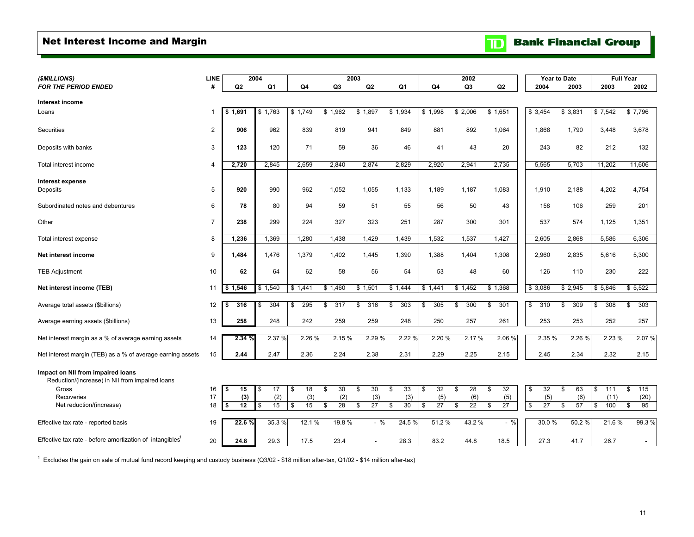# <span id="page-12-0"></span>Net Interest Income and Margin

|  | <b>TD</b> Bank Financial Group |  |
|--|--------------------------------|--|
|  |                                |  |

| (\$MILLIONS)                                                                         | <b>LINE</b>    |                              | 2004      |                       |                 | 2003            |                 |                 | 2002                         |                |                                       | <b>Year to Date</b> |                   | <b>Full Year</b> |
|--------------------------------------------------------------------------------------|----------------|------------------------------|-----------|-----------------------|-----------------|-----------------|-----------------|-----------------|------------------------------|----------------|---------------------------------------|---------------------|-------------------|------------------|
| <b>FOR THE PERIOD ENDED</b>                                                          | #              | Q2                           | Q1        | Q4                    | Q <sub>3</sub>  | Q2              | Q1              | Q4              | Q <sub>3</sub>               | Q2             | 2004                                  | 2003                | 2003              | 2002             |
|                                                                                      |                |                              |           |                       |                 |                 |                 |                 |                              |                |                                       |                     |                   |                  |
| Interest income                                                                      |                |                              |           |                       |                 |                 |                 |                 |                              |                |                                       |                     |                   |                  |
| Loans                                                                                | $\mathbf 1$    | \$1,691                      | \$1,763   | \$1,749               | \$1,962         | \$1,897         | \$1,934         | \$1,998         | \$2,006                      | \$1,651        | \$3,454                               | \$3,831             | \$7,542           | \$7,796          |
| Securities                                                                           | $\overline{c}$ | 906                          | 962       | 839                   | 819             | 941             | 849             | 881             | 892                          | 1,064          | 1,868                                 | 1,790               | 3,448             | 3,678            |
| Deposits with banks                                                                  | 3              | 123                          | 120       | 71                    | 59              | 36              | 46              | 41              | 43                           | 20             | 243                                   | 82                  | 212               | 132              |
| Total interest income                                                                | $\overline{4}$ | 2,720                        | 2,845     | 2,659                 | 2,840           | 2,874           | 2,829           | 2,920           | 2,941                        | 2,735          | 5,565                                 | 5,703               | 11,202            | 11,606           |
| Interest expense<br>Deposits                                                         | 5              | 920                          | 990       | 962                   | 1,052           | 1,055           | 1,133           | 1,189           | 1,187                        | 1,083          | 1,910                                 | 2,188               | 4.202             | 4,754            |
| Subordinated notes and debentures                                                    | 6              | 78                           | 80        | 94                    | 59              | 51              | 55              | 56              | 50                           | 43             | 158                                   | 106                 | 259               | 201              |
| Other                                                                                | $\overline{7}$ | 238                          | 299       | 224                   | 327             | 323             | 251             | 287             | 300                          | 301            | 537                                   | 574                 | 1.125             | 1,351            |
| Total interest expense                                                               | 8              | 1,236                        | 1,369     | 1,280                 | 1,438           | 1,429           | 1,439           | 1,532           | 1,537                        | 1,427          | 2,605                                 | 2,868               | 5,586             | 6,306            |
| Net interest income                                                                  | 9              | 1,484                        | 1,476     | 1,379                 | 1,402           | 1,445           | 1,390           | 1,388           | 1,404                        | 1,308          | 2,960                                 | 2,835               | 5,616             | 5,300            |
| <b>TEB Adjustment</b>                                                                | 10             | 62                           | 64        | 62                    | 58              | 56              | 54              | 53              | 48                           | 60             | 126                                   | 110                 | 230               | 222              |
| Net interest income (TEB)                                                            | 11             | \$1,546                      | \$1,540   | \$1,441               | \$1,460         | \$1,501         | \$1,444         | \$1,441         | \$1,452                      | \$1,368        | \$3,086                               | \$2,945             | \$5,846           | \$5,522          |
| Average total assets (\$billions)                                                    | 12             | 316<br>\$                    | 304<br>\$ | 295<br>\$             | 317<br>\$.      | \$<br>316       | 303<br>\$       | 305<br>\$       | 300<br>\$                    | 301<br>\$      | \$<br>310                             | \$<br>309           | 308<br>\$         | \$<br>303        |
| Average earning assets (\$billions)                                                  | 13             | 258                          | 248       | 242                   | 259             | 259             | 248             | 250             | 257                          | 261            | 253                                   | 253                 | 252               | 257              |
| Net interest margin as a % of average earning assets                                 | 14             | 2.34 %                       | 2.37 %    | 2.26 %                | 2.15 %          | 2.29 %          | 2.22 %          | 2.20 %          | 2.17%                        | 2.06 %         | 2.35 %                                | 2.26 %              | 2.23 %            | 2.07%            |
| Net interest margin (TEB) as a % of average earning assets                           | 15             | 2.44                         | 2.47      | 2.36                  | 2.24            | 2.38            | 2.31            | 2.29            | 2.25                         | 2.15           | 2.45                                  | 2.34                | 2.32              | 2.15             |
| Impact on NII from impaired loans<br>Reduction/(increase) in NII from impaired loans |                |                              |           |                       |                 |                 |                 |                 |                              |                |                                       |                     |                   |                  |
| Gross                                                                                | 16             | \$<br>15                     | 17<br>\$  | $\overline{18}$<br>\$ | 30<br>\$        | 30<br>\$        | 33<br>\$        | 32<br>\$        | 28<br>\$                     | 32<br>\$       | \$<br>32                              | 63<br>\$            | 111<br>\$         | \$<br>115        |
| Recoveries<br>Net reduction/(increase)                                               | 17<br>18       | (3)<br>$\overline{12}$<br>\$ | (2)<br>15 | (3)<br>15<br>S        | (2)<br>28<br>\$ | (3)<br>27<br>\$ | (3)<br>30<br>\$ | (5)<br>27<br>\$ | (6)<br>$\overline{22}$<br>\$ | (5)<br>27<br>S | (5)<br>$\overline{\mathcal{S}}$<br>27 | (6)<br>57<br>S      | (11)<br>100<br>\$ | (20)<br>95<br>\$ |
|                                                                                      |                |                              |           |                       |                 |                 |                 |                 |                              |                |                                       |                     |                   |                  |
| Effective tax rate - reported basis                                                  | 19             | 22.6 %                       | 35.3 %    | 12.1%                 | 19.8 %          | $-$ %           | 24.5 %          | 51.2%           | 43.2 %                       | $-$ %          | 30.0%                                 | 50.2%               | 21.6%             | 99.3%            |
| Effective tax rate - before amortization of intangibles <sup>1</sup>                 | 20             | 24.8                         | 29.3      | 17.5                  | 23.4            |                 | 28.3            | 83.2            | 44.8                         | 18.5           | 27.3                                  | 41.7                | 26.7              | $\sim$           |

 $1$  Excludes the gain on sale of mutual fund record keeping and custody business (Q3/02 - \$18 million after-tax, Q1/02 - \$14 million after-tax)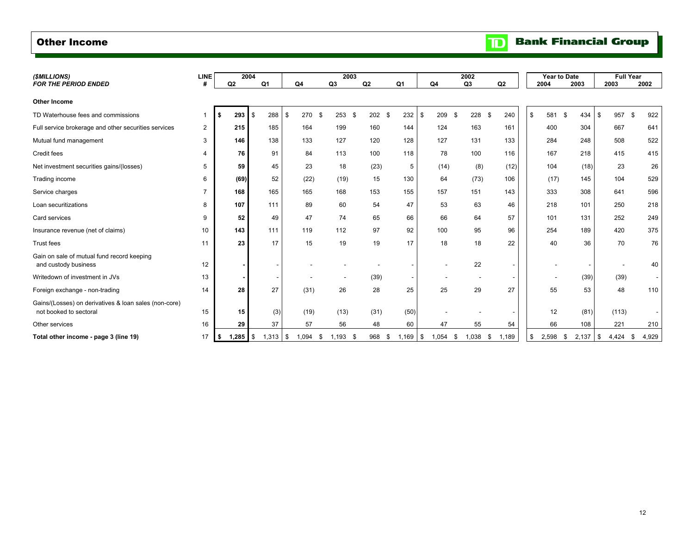## <span id="page-13-0"></span>Other Income

| (\$MILLIONS)                                                                    | <b>LINE</b> |     | 2004       |            |               |     | 2003           |      |            |       |      |               | 2002           |                | <b>Year to Date</b> |             |             | <b>Full Year</b> |
|---------------------------------------------------------------------------------|-------------|-----|------------|------------|---------------|-----|----------------|------|------------|-------|------|---------------|----------------|----------------|---------------------|-------------|-------------|------------------|
| <b>FOR THE PERIOD ENDED</b>                                                     | #           | Q2  |            | Q1         | Q4            |     | Q <sub>3</sub> |      | Q2         | Q1    |      | Q4            | Q <sub>3</sub> | Q <sub>2</sub> | 2004                | 2003        | 2003        | 2002             |
| <b>Other Income</b>                                                             |             |     |            |            |               |     |                |      |            |       |      |               |                |                |                     |             |             |                  |
| TD Waterhouse fees and commissions                                              | 1           |     | 293        | 288<br>IS. | 270<br>\$     | -96 | 253            | - \$ | 202<br>-96 | 232   | -\$  | 209<br>. \$   | 228            | 240<br>\$      | \$<br>581           | \$<br>434   | 957<br>\$   | 922<br>- \$      |
| Full service brokerage and other securities services                            | 2           |     | 215        | 185        | 164           |     | 199            |      | 160        | 144   |      | 124           | 163            | 161            | 400                 | 304         | 667         | 641              |
| Mutual fund management                                                          | 3           |     | 146        | 138        | 133           |     | 127            |      | 120        | 128   |      | 127           | 131            | 133            | 284                 | 248         | 508         | 522              |
| Credit fees                                                                     | 4           |     | 76         | 91         | 84            |     | 113            |      | 100        | 118   |      | 78            | 100            | 116            | 167                 | 218         | 415         | 415              |
| Net investment securities gains/(losses)                                        | 5           |     | 59         | 45         | 23            |     | 18             |      | (23)       | 5     |      | (14)          | (8)            | (12)           | 104                 | (18)        | 23          | 26               |
| Trading income                                                                  | 6           |     | (69)       | 52         | (22)          |     | (19)           |      | 15         | 130   |      | 64            | (73)           | 106            | (17)                | 145         | 104         | 529              |
| Service charges                                                                 | 7           |     | 168        | 165        | 165           |     | 168            |      | 153        | 155   |      | 157           | 151            | 143            | 333                 | 308         | 641         | 596              |
| Loan securitizations                                                            | 8           |     | 107        | 111        | 89            |     | 60             |      | 54         | 47    |      | 53            | 63             | 46             | 218                 | 101         | 250         | 218              |
| Card services                                                                   | 9           |     | 52         | 49         | 47            |     | 74             |      | 65         | 66    |      | 66            | 64             | 57             | 101                 | 131         | 252         | 249              |
| Insurance revenue (net of claims)                                               | 10          |     | 143        | 111        | 119           |     | 112            |      | 97         | 92    |      | 100           | 95             | 96             | 254                 | 189         | 420         | 375              |
| Trust fees                                                                      | 11          |     | 23         | 17         | 15            |     | 19             |      | 19         | 17    |      | 18            | 18             | 22             | 40                  | 36          | 70          | 76               |
| Gain on sale of mutual fund record keeping<br>and custody business              | 12          |     |            |            |               |     |                |      |            |       |      |               | 22             |                |                     |             |             | 40               |
| Writedown of investment in JVs                                                  | 13          |     |            |            |               |     |                |      | (39)       |       |      |               |                |                |                     | (39)        | (39)        |                  |
| Foreign exchange - non-trading                                                  | 14          |     | 28         | 27         | (31)          |     | 26             |      | 28         | 25    |      | 25            | 29             | 27             | 55                  | 53          | 48          | 110              |
| Gains/(Losses) on derivatives & loan sales (non-core)<br>not booked to sectoral | 15          |     | 15         | (3)        | (19)          |     | (13)           |      | (31)       | (50)  |      |               |                |                | 12                  | (81)        | (113)       | ٠                |
| Other services                                                                  | 16          |     | 29         | 37         | 57            |     | 56             |      | 48         | 60    |      | 47            | 55             | 54             | 66                  | 108         | 221         | 210              |
| Total other income - page 3 (line 19)                                           | 17          | - 5 | $1,285$ \$ | 1,313      | 1,094<br>l \$ |     | .193           |      | 968        | 1,169 | - \$ | 1,054<br>- 35 | 0.038          | 1,189<br>S     | \$<br>2,598         | \$<br>2,137 | 4,424<br>\$ | 4,929<br>- \$    |

## **Bank Financial Group**  $\mathbf{D}$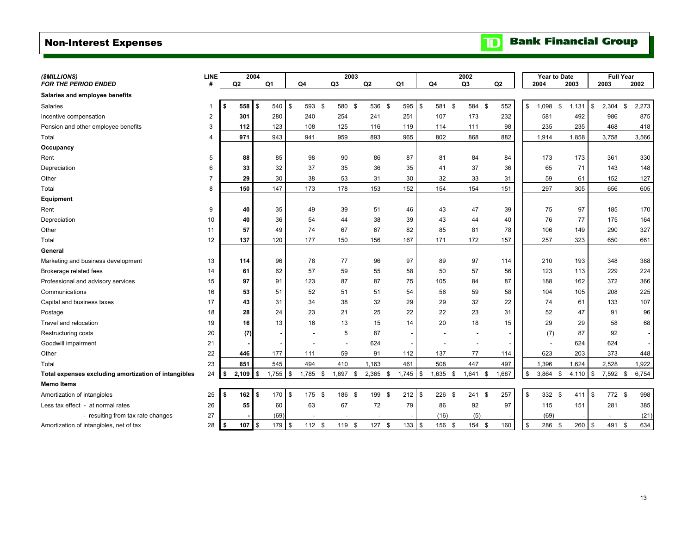# <span id="page-14-0"></span>Non-Interest Expenses

|  |  | <b>TD</b> Bank Financial Group |  |
|--|--|--------------------------------|--|
|--|--|--------------------------------|--|

| (\$MILLIONS)                                         | <b>LINE</b>    |                | 2004         |            |    |            |                | 2003   |                |            |               |            | 2002           |        |       | <b>Year to Date</b> |            | <b>Full Year</b> |             |
|------------------------------------------------------|----------------|----------------|--------------|------------|----|------------|----------------|--------|----------------|------------|---------------|------------|----------------|--------|-------|---------------------|------------|------------------|-------------|
| <b>FOR THE PERIOD ENDED</b>                          | #              | Q <sub>2</sub> |              | Q1         | Q4 |            | Q <sub>3</sub> |        | Q <sub>2</sub> | Q1         |               | Q4         | Q <sub>3</sub> |        | Q2    | 2004                | 2003       | 2003             | 2002        |
| Salaries and employee benefits                       |                |                |              |            |    |            |                |        |                |            |               |            |                |        |       |                     |            |                  |             |
| Salaries                                             | -1             | 558<br>\$      | $\mathbf{s}$ | 540        | \$ | 593 \$     |                | 580 \$ | 536 \$         | 595        | l \$          | 581<br>\$  |                | 584 \$ | 552   | \$<br>\$<br>1,098   | 1,131      | \$<br>2,304      | \$<br>2,273 |
| Incentive compensation                               | $\overline{2}$ | 301            |              | 280        |    | 240        | 254            |        | 241            | 251        |               | 107        | 173            |        | 232   | 581                 | 492        | 986              | 875         |
| Pension and other employee benefits                  | 3              | 112            |              | 123        |    | 108        | 125            |        | 116            | 119        |               | 114        | 111            |        | 98    | 235                 | 235        | 468              | 418         |
| Total                                                | 4              | 971            |              | 943        |    | 941        | 959            |        | 893            | 965        |               | 802        | 868            |        | 882   | 1,914               | 1,858      | 3,758            | 3,566       |
| Occupancy                                            |                |                |              |            |    |            |                |        |                |            |               |            |                |        |       |                     |            |                  |             |
| Rent                                                 | 5              | 88             |              | 85         |    | 98         | 90             |        | 86             | 87         |               | 81         | 84             |        | 84    | 173                 | 173        | 361              | 330         |
| Depreciation                                         | 6              | 33             |              | 32         |    | 37         | 35             |        | 36             |            | 35            | 41         | 37             |        | 36    | 65                  | 71         | 143              | 148         |
| Other                                                | 7              | 29             |              | 30         |    | 38         | 53             |        | 31             | 30         |               | 32         | 33             |        | 31    | 59                  | 61         | 152              | 127         |
| Total                                                | 8              | 150            |              | 147        |    | 173        | 178            |        | 153            | 152        |               | 154        | 154            |        | 151   | 297                 | 305        | 656              | 605         |
| <b>Equipment</b>                                     |                |                |              |            |    |            |                |        |                |            |               |            |                |        |       |                     |            |                  |             |
| Rent                                                 | 9              | 40             |              | 35         |    | 49         | 39             |        | 51             |            | 46            | 43         | 47             |        | 39    | 75                  | 97         | 185              | 170         |
| Depreciation                                         | 10             | 40             |              | 36         |    | 54         | 44             |        | 38             |            | 39            | 43         | 44             |        | 40    | 76                  | 77         | 175              | 164         |
| Other                                                | 11             | 57             |              | 49         |    | 74         | 67             |        | 67             |            | 82            | 85         | 81             |        | 78    | 106                 | 149        | 290              | 327         |
| Total                                                | 12             | 137            |              | 120        |    | 177        | 150            |        | 156            | 167        |               | 171        | 172            |        | 157   | 257                 | 323        | 650              | 661         |
| General                                              |                |                |              |            |    |            |                |        |                |            |               |            |                |        |       |                     |            |                  |             |
| Marketing and business development                   | 13             | 114            |              | 96         |    | 78         | 77             |        | 96             | 97         |               | 89         | 97             |        | 114   | 210                 | 193        | 348              | 388         |
| Brokerage related fees                               | 14             | 61             |              | 62         |    | 57         | 59             |        | 55             |            | 58            | 50         | 57             |        | 56    | 123                 | 113        | 229              | 224         |
| Professional and advisory services                   | 15             | 97             |              | 91         |    | 123        | 87             |        | 87             |            | 75            | 105        | 84             |        | 87    | 188                 | 162        | 372              | 366         |
| Communications                                       | 16             | 53             |              | 51         |    | 52         | 51             |        | 51             |            | 54            | 56         | 59             |        | 58    | 104                 | 105        | 208              | 225         |
| Capital and business taxes                           | 17             | 43             |              | 31         |    | 34         | 38             |        | 32             |            | 29            | 29         | 32             |        | 22    | 74                  | 61         | 133              | 107         |
| Postage                                              | 18             | 28             |              | 24         |    | 23         | 21             |        | 25             |            | 22            | 22         | 23             |        | 31    | 52                  | 47         | 91               | 96          |
| Travel and relocation                                | 19             | 16             |              | 13         |    | 16         | 13             |        | 15             |            | 14            | 20         | 18             |        | 15    | 29                  | 29         | 58               | 68          |
| Restructuring costs                                  | 20             | (7)            |              |            |    |            | 5              |        | 87             |            |               |            |                |        |       | (7)                 | 87         | 92               |             |
| Goodwill impairment                                  | 21             |                |              |            |    |            |                |        | 624            |            |               |            |                |        |       |                     | 624        | 624              |             |
| Other                                                | 22             | 446            |              | 177        |    | 111        | 59             |        | 91             | 112        |               | 137        | 77             |        | 114   | 623                 | 203        | 373              | 448         |
| Total                                                | 23             | 851            |              | 545        |    | 494        | 410            |        | 1,163          | 461        |               | 508        | 447            |        | 497   | 1,396               | 1,624      | 2,528            | 1,922       |
| Total expenses excluding amortization of intangibles | 24             | 2,109          | $\sqrt{3}$   | $1,755$ \$ |    | $1,785$ \$ | $1,697$ \$     |        | $2,365$ \$     | $1,745$ \$ |               | $1,635$ \$ | $1,641$ \$     |        | 1,687 | \$<br>3,864<br>\$   | $4,110$ \$ | 7,592 \$         | 6,754       |
| <b>Memo Items</b>                                    |                |                |              |            |    |            |                |        |                |            |               |            |                |        |       |                     |            |                  |             |
| Amortization of intangibles                          | 25             | 162<br>\$      | $\sqrt{3}$   | 170        | \$ | 175<br>\$  | 186            | -\$    | 199            | - \$       | $212 \quad $$ | $226$ \$   | 241            | \$     | 257   | \$<br>332 \$        | 411        | \$<br>772 \$     | 998         |
| Less tax effect - at normal rates                    | 26             | 55             |              | 60         |    | 63         | 67             |        | 72             |            | 79            | 86         | 92             |        | 97    | 115                 | 151        | 281              | 385         |
| - resulting from tax rate changes                    | 27             |                |              | (69)       |    |            |                |        |                |            |               | (16)       | (5)            |        |       | (69)                |            |                  | (21)        |
| Amortization of intangibles, net of tax              | 28             | $107$ \$<br>\$ |              | 179 \$     |    | 112S       |                | 119 \$ | 127S           |            | 133S          | 156 \$     |                | 154 \$ | 160   | \$<br>286<br>\$     | 260        | \$<br>491        | 634<br>\$   |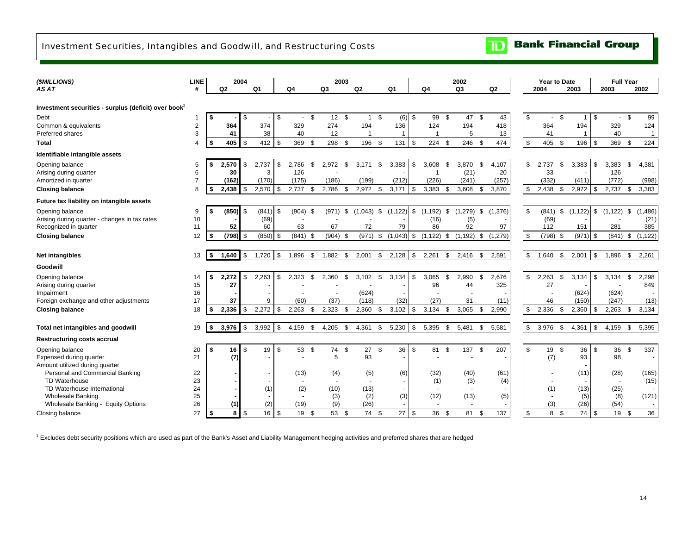## <span id="page-15-0"></span>Investment Securities, Intangibles and Goodwill, and Restructuring Costs

| ( <i>SMILLIONS</i> )                                             | LINE           |             | 2004          |                |          |                |      | 2003                     |          |                |      |                |      |                          |     | 2002                     |                |              |       |            | Year to Date   |            |    | <b>Full Year</b> |                |              |
|------------------------------------------------------------------|----------------|-------------|---------------|----------------|----------|----------------|------|--------------------------|----------|----------------|------|----------------|------|--------------------------|-----|--------------------------|----------------|--------------|-------|------------|----------------|------------|----|------------------|----------------|--------------|
| AS AT                                                            | #              | Q2          |               | Q <sub>1</sub> |          | Q <sub>4</sub> |      | Q <sub>3</sub>           |          | Q2             |      | Q <sub>1</sub> |      | Q4                       |     | Q <sub>3</sub>           | Q2             |              | 2004  |            |                | 2003       |    | 2003             |                | 2002         |
|                                                                  |                |             |               |                |          |                |      |                          |          |                |      |                |      |                          |     |                          |                |              |       |            |                |            |    |                  |                |              |
| Investment securities - surplus (deficit) over book <sup>1</sup> |                |             |               |                |          |                |      |                          |          |                |      |                |      |                          |     |                          |                |              |       |            |                |            |    |                  |                |              |
| Debt                                                             | -1             | \$          | l \$          |                | \$       | $\sim$         | \$   | 12                       | <b>S</b> | $\mathbf{1}$   | \$   | (6)            | \$   | 99                       | \$  | 47                       | \$<br>43       | \$           |       | $\sim$     | $\mathfrak{s}$ |            | \$ | $\sim$           | $\mathfrak{s}$ | 99           |
| Common & equivalents                                             | 2              | 364         |               | 374            |          | 329            |      | 274                      |          | 194            |      | 136            |      | 124                      |     | 194                      | 418            |              | 364   |            |                | 194        |    | 329              |                | 124          |
| Preferred shares                                                 | 3              | 41          |               | 38             |          | 40             |      | 12                       |          | $\overline{1}$ |      | $\mathbf 1$    |      |                          |     | 5                        | 13             |              |       | 41         |                | -1         |    | 40               |                | $\mathbf{1}$ |
| <b>Total</b>                                                     | 4              | \$<br>405   | l \$          | 412            | \$       | 369            | - \$ | 298                      | \$       | 196            | \$   | 131            | l \$ | 224                      | -\$ | 246                      | \$<br>474      | \$           | 405   |            | - \$           | 196        | -S | 369              | $\mathfrak{L}$ | 224          |
| Identifiable intangible assets                                   |                |             |               |                |          |                |      |                          |          |                |      |                |      |                          |     |                          |                |              |       |            |                |            |    |                  |                |              |
| Opening balance                                                  | 5              | \$<br>2,570 | \$            | 2,737          | \$       | 2.786          | -\$  | 2,972                    | \$       | 3,171          | \$   | 3,383          | \$   | 3,608                    | \$  | 3,870                    | \$<br>4,107    | \$           | 2,737 |            | \$             | 3,383      | \$ | 3,383            | - \$           | 4,381        |
| Arising during quarter                                           | 6              | 30          |               | 3              |          | 126            |      |                          |          |                |      |                |      | -1                       |     | (21)                     | 20             |              |       | 33         |                |            |    | 126              |                |              |
| Amortized in quarter                                             | $\overline{7}$ | (162)       |               | (170)          |          | (175)          |      | (186)                    |          | (199)          |      | (212)          |      | (226)                    |     | (241)                    | (257)          |              | (332) |            |                | (411)      |    | (772)            |                | (998)        |
| <b>Closing balance</b>                                           | 8              | \$<br>2,438 | \$            | 2,570          | \$       | 2,737          | \$   | 2,786                    | \$       | 2,972          | - \$ | 3,171          | \$   | 3,383                    | \$  | 3,608                    | \$<br>3,870    | \$           | 2,438 |            | -\$            | 2,972      | \$ | 2,737            | \$             | 3,383        |
| Future tax liability on intangible assets                        |                |             |               |                |          |                |      |                          |          |                |      |                |      |                          |     |                          |                |              |       |            |                |            |    |                  |                |              |
| Opening balance                                                  | 9              | \$<br>(850) | l \$          | (841)          | \$       | $(904)$ \$     |      | (971)                    | \$       | (1,043)        | \$   | (1, 122)       | \$   | , 192)<br>(1)            | \$  | ,279)<br>(1)             | \$<br>(1,376)  | \$           | (841) |            | \$             | (1, 122)   | \$ | (1, 122)         | \$             | (1, 486)     |
| Arising during quarter - changes in tax rates                    | 10             |             |               | (69)           |          |                |      |                          |          |                |      |                |      | (16)                     |     | (5)                      |                |              |       | (69)       |                |            |    |                  |                | (21)         |
| Recognized in quarter                                            | 11             | 52          |               | 60             |          | 63             |      | 67                       |          | 72             |      | 79             |      | 86                       |     | 92                       | 97             |              | 112   |            |                | 151        |    | 281              |                | 385          |
| <b>Closing balance</b>                                           | 12             | \$<br>(798) | l \$          | (850)          | <b>S</b> | $(841)$ \$     |      | (904)                    | \$       | $(971)$ \$     |      | $(1,043)$ \$   |      | (1, 122)                 | \$  | (1, 192)                 | \$<br>(1, 279) | $\mathbb{S}$ |       | $(798)$ \$ |                | $(971)$ \$ |    | $(841)$ \$       |                | (1, 122)     |
|                                                                  |                |             |               |                |          |                |      |                          |          |                |      |                |      |                          |     |                          |                |              |       |            |                |            |    |                  |                |              |
| Net intangibles                                                  | 13             | \$<br>1.640 | $\mathfrak s$ | 1,720          | \$       | 1,896          | - \$ | 1,882                    | \$       | 2,001          | \$   | $2,128$ \$     |      | 2,261                    | \$  | 2,416                    | \$<br>2,591    | \$           | 1,640 |            | \$             | 2,001      | \$ | 1,896            | \$             | 2,261        |
| Goodwill                                                         |                |             |               |                |          |                |      |                          |          |                |      |                |      |                          |     |                          |                |              |       |            |                |            |    |                  |                |              |
| Opening balance                                                  | 14             | \$<br>2,272 | \$            | 2,263          | -\$      | 2,323          | \$   | 2,360                    | \$       | 3,102          | \$   | 3,134          | \$   | 3,065                    | \$. | 2,990                    | \$<br>2,676    | \$           | 2,263 |            | \$             | 3,134      | \$ | 3,134            | \$             | 2,298        |
| Arising during quarter                                           | 15             | 27          |               |                |          |                |      |                          |          |                |      |                |      | 96                       |     | 44                       | 325            |              |       | 27         |                |            |    |                  |                | 849          |
| Impairment                                                       | 16             |             |               |                |          |                |      |                          |          | (624)          |      |                |      |                          |     |                          |                |              |       |            |                | (624)      |    | (624)            |                |              |
| Foreign exchange and other adjustments                           | 17             | 37          |               | 9              |          | (60)           |      | (37)                     |          | (118)          |      | (32)           |      | (27)                     |     | 31                       | (11)           |              |       | 46         |                | (150)      |    | (247)            |                | (13)         |
| <b>Closing balance</b>                                           | 18             | \$<br>2,336 | \$            | 2,272          | \$       | 2,263          | \$   | 2,323                    | \$       | 2,360          | \$   | 3,102          | \$   | 3,134                    | \$. | 3,065                    | \$<br>2,990    | \$           | 2,336 |            | \$             | 2,360      | \$ | 2,263            | \$             | 3,134        |
|                                                                  |                |             |               |                |          |                |      |                          |          |                |      |                |      |                          |     |                          |                |              |       |            |                |            |    |                  |                |              |
| Total net intangibles and goodwill                               | 19             | \$<br>3,976 | $\mathfrak s$ | 3,992          | \$       | 4,159          | \$   | 4,205                    | \$       | 4,361          | \$   | 5,230          | \$   | 5,395                    | \$  | 5,481                    | \$<br>5,581    | \$           | 3,976 |            | \$             | 4,361      | \$ | 4,159            | \$             | 5,395        |
| <b>Restructuring costs accrual</b>                               |                |             |               |                |          |                |      |                          |          |                |      |                |      |                          |     |                          |                |              |       |            |                |            |    |                  |                |              |
| Opening balance                                                  | 20             | \$<br>16    | <b>\$</b>     | 19             | \$       | 53 \$          |      | 74                       | \$       | 27             | \$   | 36             | \$   | 81                       | \$  | 137                      | \$<br>207      | \$           |       | 19         | \$             | 36         | \$ | 36               | -\$            | 337          |
| Expensed during quarter                                          | 21             | (7)         |               |                |          |                |      | 5                        |          | 93             |      |                |      |                          |     | $\overline{\phantom{a}}$ |                |              |       | (7)        |                | 93         |    | 98               |                |              |
| Amount utilized during quarter                                   |                |             |               |                |          |                |      |                          |          |                |      |                |      |                          |     |                          |                |              |       |            |                |            |    |                  |                |              |
| Personal and Commercial Banking                                  | 22             |             |               |                |          | (13)           |      | (4)                      |          | (5)            |      | (6)            |      | (32)                     |     | (40)                     | (61)           |              |       |            |                | (11)       |    | (28)             |                | (165)        |
| <b>TD Waterhouse</b>                                             | 23             |             |               |                |          | $\blacksquare$ |      | $\overline{\phantom{a}}$ |          |                |      | $\sim$         |      | (1)                      |     | (3)                      | (4)            |              |       |            |                |            |    |                  |                | (15)         |
| TD Waterhouse International                                      | 24             |             |               | (1)            |          | (2)            |      | (10)                     |          | (13)           |      |                |      | $\overline{\phantom{a}}$ |     | $\overline{\phantom{a}}$ |                |              |       | (1)        |                | (13)       |    | (25)             |                |              |
| <b>Wholesale Banking</b>                                         | 25             |             |               |                |          |                |      | (3)                      |          | (2)            |      | (3)            |      | (12)                     |     | (13)                     | (5)            |              |       |            |                | (5)        |    | (8)              |                | (121)        |
| Wholesale Banking - Equity Options                               | 26             | (1)         |               | (2)            |          | (19)           |      | (9)                      |          | (26)           |      |                |      | $\blacksquare$           |     | $\overline{\phantom{a}}$ |                |              |       | (3)        |                | (26)       |    | (54)             |                |              |
| Closing balance                                                  | 27             | \$<br>8     | $\sqrt{3}$    | 16             | \$       | 19             | - \$ | 53                       | \$       | 74             | -\$  | 27             | \$   | 36                       | -\$ | 81                       | \$<br>137      | $\mathbb{S}$ |       | 8          | - \$           | 74         | \$ | 19               | - \$           | 36           |

<sup>1</sup> Excludes debt security positions which are used as part of the Bank's Asset and Liability Management hedging activities and preferred shares that are hedged

**TD** Bank Financial Group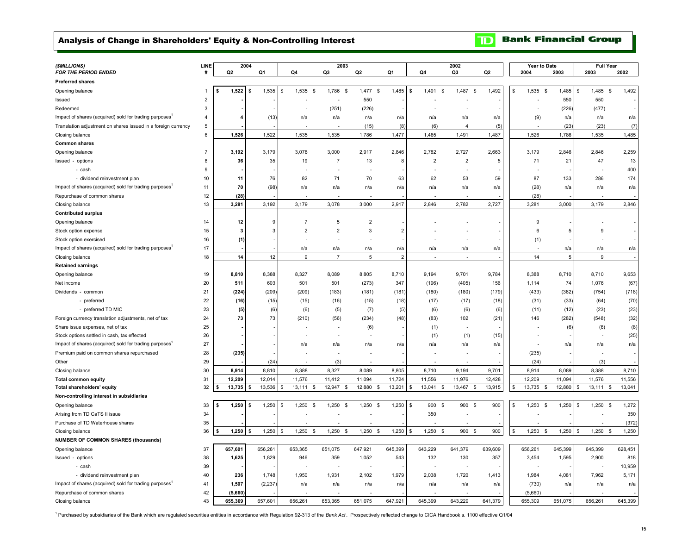## <span id="page-16-0"></span>Analysis of Change in Shareholders' Equity & Non-Controlling Interest

**Bank Financial Group**  $\mathbf{D}$ 

| (\$MILLIONS)                                                       | LINE           | 2004    |                       |                  | 2003                     |                   |                       |                                 | 2002                            |         |    | Year to Date  |         | <b>Full Year</b> |                   |
|--------------------------------------------------------------------|----------------|---------|-----------------------|------------------|--------------------------|-------------------|-----------------------|---------------------------------|---------------------------------|---------|----|---------------|---------|------------------|-------------------|
| FOR THE PERIOD ENDED                                               | #              | Q2      | Q1                    | Q4               | Q3                       | Q2                | Q1                    | Q4                              | Q3                              | Q2      |    | 2004          | 2003    | 2003             | 2002              |
| <b>Preferred shares</b>                                            |                |         |                       |                  |                          |                   |                       |                                 |                                 |         |    |               |         |                  |                   |
| Opening balance                                                    |                | 1,522   | 1,535<br>S            | 1,535 \$<br>\$   | 1,786<br>\$              | 1,477 \$          | 1,485                 | 1,491<br>\$<br>\$               | 1,487<br>\$                     | 1,492   | \$ | 1,535<br>\$   | 1,485   | 1,485 \$<br>\$   | 1,492             |
| Issued                                                             | $\overline{c}$ |         |                       |                  |                          | 550               |                       |                                 |                                 |         |    |               | 550     | 550              |                   |
| Redeemed                                                           | 3              |         |                       | $\overline{a}$   | (251)                    | (226)             |                       | ÷                               |                                 |         |    |               | (226)   | (477)            |                   |
| Impact of shares (acquired) sold for trading purposes <sup>1</sup> | 4              |         | (13)                  | n/a              | n/a                      | n/a               | n/a                   | n/a                             | n/a                             | n/a     |    | (9)           | n/a     | n/a              | n/a               |
| Translation adjustment on shares issued in a foreign currency      | $\,$ 5 $\,$    |         |                       |                  |                          | (15)              | (8)                   | (6)                             | $\overline{4}$                  | (5)     |    |               | (23)    | (23)             | (7)               |
| Closing balance                                                    | 6              | 1,526   | 1,522                 | 1,535            | 1,535                    | 1,786             | 1,477                 | 1,485                           | 1,491                           | 1,487   |    | 1,526         | 1,786   | 1,535            | 1,485             |
| <b>Common shares</b>                                               |                |         |                       |                  |                          |                   |                       |                                 |                                 |         |    |               |         |                  |                   |
| Opening balance                                                    | $\overline{7}$ | 3,192   | 3,179                 | 3,078            | 3,000                    | 2,917             | 2,846                 | 2,782                           | 2,727                           | 2,663   |    | 3,179         | 2,846   | 2,846            | 2,259             |
| Issued - options                                                   | 8              | 36      | 35                    | 19               | $\overline{7}$           | 13                | 8                     | $\overline{2}$                  | $\overline{2}$                  | 5       |    | 71            | 21      | 47               | 13                |
| - cash                                                             | 9              |         |                       |                  | ÷.                       |                   |                       |                                 |                                 |         |    |               |         |                  | 400               |
| - dividend reinvestment plan                                       | 10             | 11      | 76                    | 82               | 71                       | 70                | 63                    | 62                              | 53                              | 59      |    | 87            | 133     | 286              | 174               |
| Impact of shares (acquired) sold for trading purposes <sup>1</sup> | 11             | 70      | (98)                  | n/a              | n/a                      | n/a               | n/a                   | n/a                             | n/a                             | n/a     |    | (28)          | n/a     | n/a              | n/a               |
| Repurchase of common shares                                        | 12             | (28)    |                       |                  |                          |                   |                       |                                 |                                 |         |    | (28)          |         |                  |                   |
| Closing balance                                                    | 13             | 3,281   | 3,192                 | 3,179            | 3,078                    | 3,000             | 2,917                 | 2,846                           | 2,782                           | 2,727   |    | 3,281         | 3,000   | 3,179            | 2,846             |
| <b>Contributed surplus</b>                                         |                |         |                       |                  |                          |                   |                       |                                 |                                 |         |    |               |         |                  |                   |
| Opening balance                                                    | 14             | 12      | 9                     | $\overline{7}$   | 5                        | $\overline{2}$    |                       |                                 |                                 |         |    | 9             |         |                  |                   |
| Stock option expense                                               | 15             |         | 3                     | $\overline{2}$   | $\overline{2}$           | 3                 | $\overline{2}$        |                                 |                                 |         |    | 6             | 5       | 9                |                   |
| Stock option exercised                                             | 16             | (1)     |                       |                  |                          |                   |                       |                                 |                                 |         |    | (1)           |         |                  |                   |
| Impact of shares (acquired) sold for trading purposes <sup>1</sup> | 17             |         |                       |                  |                          |                   |                       |                                 |                                 |         |    |               | n/a     |                  | n/a               |
| Closing balance                                                    | 18             | 14      | 12                    | n/a<br>9         | n/a<br>$\overline{7}$    | n/a<br>5          | n/a<br>$\overline{2}$ | n/a<br>$\overline{\phantom{a}}$ | n/a<br>$\overline{\phantom{a}}$ | n/a     |    | 14            | 5       | n/a<br>9         |                   |
|                                                                    |                |         |                       |                  |                          |                   |                       |                                 |                                 |         |    |               |         |                  |                   |
| <b>Retained earnings</b>                                           | 19             | 8,810   | 8,388                 | 8,327            | 8,089                    | 8,805             | 8,710                 | 9,194                           | 9,701                           | 9,784   |    | 8,388         | 8,710   | 8,710            | 9,653             |
| Opening balance                                                    |                |         |                       |                  |                          |                   |                       |                                 |                                 |         |    |               |         |                  |                   |
| Net income                                                         | 20             | 511     | 603                   | 501              | 501                      | (273)             | 347                   | (196)                           | (405)                           | 156     |    | 1,114         | 74      | 1,076            | (67)              |
| Dividends - common                                                 | 21             | (224)   | (209)                 | (209)            | (183)                    | (181)             | (181)                 | (180)                           | (180)                           | (179)   |    | (433)         | (362)   | (754)            | (718)             |
| - preferred                                                        | 22             | (16)    | (15)                  | (15)             | (16)                     | (15)              | (18)                  | (17)                            | (17)                            | (18)    |    | (31)          | (33)    | (64)             | (70)              |
| - preferred TD MIC                                                 | 23             | (5)     | (6)                   | (6)              | (5)                      | (7)               | (5)                   | (6)                             | (6)                             | (6)     |    | (11)          | (12)    | (23)             | (23)              |
| Foreign currency translation adjustments, net of tax               | 24             | 73      | 73                    | (210)            | (56)                     | (234)             | (48)                  | (83)                            | 102                             | (21)    |    | 146           | (282)   | (548)            | (32)              |
| Share issue expenses, net of tax                                   | 25             |         |                       |                  | $\overline{\phantom{a}}$ | (6)               |                       | (1)                             |                                 |         |    |               | (6)     | (6)              | (8)               |
| Stock options settled in cash, tax effected                        | 26             |         |                       |                  | ٠                        |                   |                       | (1)                             | (1)                             | (15)    |    |               |         |                  | (25)              |
| Impact of shares (acquired) sold for trading purposes <sup>1</sup> | 27             |         |                       | n/a              | n/a                      | n/a               | n/a                   | n/a                             | n/a                             | n/a     |    |               | n/a     | n/a              | n/a               |
| Premium paid on common shares repurchased                          | 28             | (235)   |                       |                  |                          |                   |                       |                                 |                                 |         |    | (235)         |         |                  |                   |
| Other                                                              | 29             |         | (24)                  |                  | (3)                      |                   |                       |                                 |                                 |         |    | (24)          |         | (3)              |                   |
| Closing balance                                                    | 30             | 8,914   | 8,810                 | 8,388            | 8,327                    | 8,089             | 8,805                 | 8,710                           | 9,194                           | 9,701   |    | 8,914         | 8,089   | 8,388            | 8,710             |
| <b>Total common equity</b>                                         | 31             | 12,209  | 12,014                | 11,576           | 11,412                   | 11,094            | 11,724                | 11,556                          | 11,976                          | 12,428  |    | 12,209        | 11,094  | 11,576           | 11,556            |
| Total shareholders' equity                                         | 32             | 13,735  | 13,536                | 13,111<br>5      | 12,947<br>\$<br>- \$     | 12,880<br>- \$    | 13,201                | 13,041 \$<br>S                  | 13,467<br>-\$                   | 13,915  | \$ | 13,735 \$     | 12,880  | $13,111$ \$<br>£ | 13,041            |
| Non-controlling interest in subsidiaries                           |                |         |                       |                  |                          |                   |                       |                                 |                                 |         |    |               |         |                  |                   |
| Opening balance                                                    | 33             | 1,250   | $\mathsf{s}$<br>1,250 | S.<br>$1,250$ \$ | 1,250<br>-S              | 1,250<br>- \$     | 1,250                 | \$<br>900 \$                    | 900 \$                          | 900     | s. | 1,250<br>- \$ | 1,250   | 1.250<br>-S      | 1,272<br>- \$     |
| Arising from TD CaTS II issue                                      | 34             |         |                       |                  |                          |                   |                       | 350                             |                                 |         |    |               |         |                  | 350               |
| Purchase of TD Waterhouse shares                                   | 35             |         |                       |                  |                          |                   |                       |                                 |                                 |         |    |               |         |                  | (372)             |
| Closing balance                                                    | 36             | 1,250   | 1,250<br>\$           | 1,250<br>\$      | 1,250<br><b>S</b><br>S.  | 1,250<br><b>S</b> | 1,250                 | 1,250<br>\$<br>\$               | 900 \$                          | 900     | \$ | 1,250<br>-S   | 1,250   | 1,250<br>\$      | <b>S</b><br>1,250 |
| <b>NUMBER OF COMMON SHARES (thousands)</b>                         |                |         |                       |                  |                          |                   |                       |                                 |                                 |         |    |               |         |                  |                   |
| Opening balance                                                    | 37             | 657,601 | 656,261               | 653,365          | 651,075                  | 647,921           | 645,399               | 643,229                         | 641,379                         | 639,609 |    | 656,261       | 645,399 | 645,399          | 628,451           |
| Issued - options                                                   | 38             | 1,625   | 1,829                 | 946              | 359                      | 1,052             | 543                   | 132                             | 130                             | 357     |    | 3,454         | 1,595   | 2,900            | 818               |
| - cash                                                             | 39             |         |                       |                  | ÷                        |                   |                       | ÷                               |                                 |         |    |               |         |                  | 10,959            |
| - dividend reinvestment plan                                       | 40             | 236     | 1,748                 | 1,950            | 1,931                    | 2,102             | 1,979                 | 2,038                           | 1,720                           | 1,413   |    | 1,984         | 4,081   | 7,962            | 5,171             |
| Impact of shares (acquired) sold for trading purposes <sup>1</sup> | 41             | 1,507   | (2, 237)              | n/a              | n/a                      | n/a               | n/a                   | n/a                             | n/a                             | n/a     |    | (730)         | n/a     | n/a              | n/a               |
| Repurchase of common shares                                        | 42             | (5,660) |                       |                  |                          |                   |                       |                                 |                                 |         |    | (5,660)       |         |                  |                   |
| Closing balance                                                    | 43             | 655,309 | 657,601               | 656.261          | 653,365                  | 651,075           | 647,921               | 645,399                         | 643,229                         | 641.379 |    | 655,309       | 651,075 | 656.261          | 645,399           |

1 Purchased by subsidiaries of the Bank which are regulated securities entities in accordance with Regulation 92-313 of the *Bank Act* . Prospectively reflected change to CICA Handbook s. 1100 effective Q1/04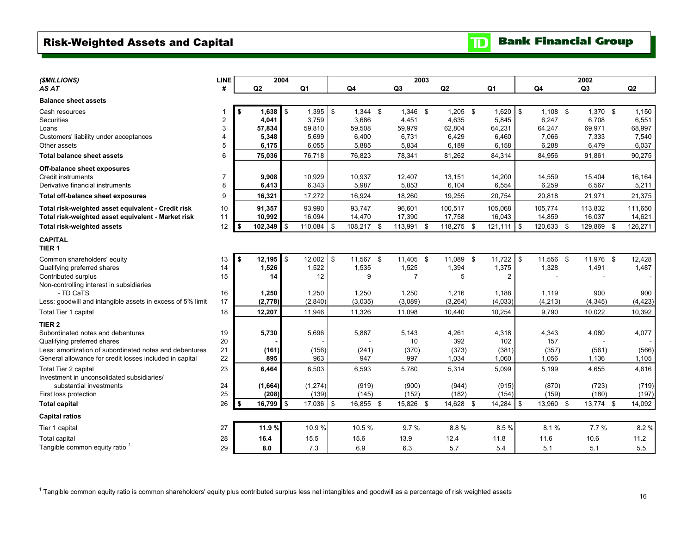# <span id="page-17-0"></span>Risk-Weighted Assets and Capital

| (\$MILLIONS)                                               | <b>LINE</b>    |      | 2004    |                   |    |            |                | 2003 |            |                |               |            | 2002       |                |
|------------------------------------------------------------|----------------|------|---------|-------------------|----|------------|----------------|------|------------|----------------|---------------|------------|------------|----------------|
| AS AT                                                      | #              |      | Q2      | Q <sub>1</sub>    |    | Q4         | Q3             |      | Q2         | Q <sub>1</sub> |               | Q4         | Q3         | Q <sub>2</sub> |
| <b>Balance sheet assets</b>                                |                |      |         |                   |    |            |                |      |            |                |               |            |            |                |
| Cash resources                                             | 1              |      | 1,638   | \$<br>$1,395$ \$  |    | $1,344$ \$ | $1,346$ \$     |      | $1,205$ \$ | 1,620          | $\mathfrak s$ | $1,108$ \$ | $1,370$ \$ | 1,150          |
| Securities                                                 | $\overline{2}$ |      | 4,041   | 3,759             |    | 3,686      | 4,451          |      | 4,635      | 5,845          |               | 6,247      | 6,708      | 6,551          |
| Loans                                                      | 3              |      | 57,834  | 59,810            |    | 59,508     | 59.979         |      | 62,804     | 64,231         |               | 64,247     | 69,971     | 68,997         |
| Customers' liability under acceptances                     | 4              |      | 5,348   | 5,699             |    | 6,400      | 6,731          |      | 6,429      | 6,460          |               | 7,066      | 7,333      | 7,540          |
| Other assets                                               | 5              |      | 6,175   | 6,055             |    | 5,885      | 5,834          |      | 6,189      | 6,158          |               | 6,288      | 6,479      | 6.037          |
| <b>Total balance sheet assets</b>                          | 6              |      | 75,036  | 76,718            |    | 76,823     | 78,341         |      | 81,262     | 84,314         |               | 84,956     | 91,861     | 90,275         |
| Off-balance sheet exposures                                |                |      |         |                   |    |            |                |      |            |                |               |            |            |                |
| Credit instruments                                         | $\overline{7}$ |      | 9,908   | 10,929            |    | 10,937     | 12,407         |      | 13,151     | 14,200         |               | 14,559     | 15,404     | 16,164         |
| Derivative financial instruments                           | 8              |      | 6,413   | 6,343             |    | 5,987      | 5,853          |      | 6,104      | 6,554          |               | 6,259      | 6,567      | 5,211          |
| Total off-balance sheet exposures                          | 9              |      | 16,321  | 17,272            |    | 16,924     | 18,260         |      | 19,255     | 20,754         |               | 20,818     | 21,971     | 21,375         |
| Total risk-weighted asset equivalent - Credit risk         | 10             |      | 91,357  | 93,990            |    | 93,747     | 96,601         |      | 100,517    | 105,068        |               | 105,774    | 113,832    | 111,650        |
| Total risk-weighted asset equivalent - Market risk         | 11             |      | 10,992  | 16,094            |    | 14,470     | 17,390         |      | 17,758     | 16,043         |               | 14,859     | 16,037     | 14,621         |
| Total risk-weighted assets                                 | 12             | - \$ | 102,349 | ፍ<br>110,084      | \$ | 108,217 \$ | 113,991        | - \$ | 118,275 \$ | 121,111        | \$            | 120,633 \$ | 129,869 \$ | 126,271        |
| <b>CAPITAL</b><br>TIER <sub>1</sub>                        |                |      |         |                   |    |            |                |      |            |                |               |            |            |                |
| Common shareholders' equity                                | 13             | \$   | 12,195  | \$<br>$12,002$ \$ |    | 11,567 \$  | 11,405 \$      |      | 11,089 \$  | 11,722         | l \$          | 11,556 \$  | 11,976 \$  | 12,428         |
| Qualifying preferred shares                                | 14             |      | 1,526   | 1,522             |    | 1,535      | 1,525          |      | 1,394      | 1,375          |               | 1,328      | 1,491      | 1,487          |
| Contributed surplus                                        | 15             |      | 14      |                   | 12 | 9          | $\overline{7}$ |      | 5          | 2              |               |            |            |                |
| Non-controlling interest in subsidiaries                   |                |      |         |                   |    |            |                |      |            |                |               |            |            |                |
| - TD CaTS                                                  | 16             |      | 1,250   | 1,250             |    | 1,250      | 1,250          |      | 1,216      | 1,188          |               | 1,119      | 900        | 900            |
| Less: goodwill and intangible assets in excess of 5% limit | 17             |      | (2,778) | (2,840)           |    | (3,035)    | (3,089)        |      | (3,264)    | (4,033)        |               | (4, 213)   | (4, 345)   | (4, 423)       |
| Total Tier 1 capital                                       | 18             |      | 12,207  | 11,946            |    | 11,326     | 11,098         |      | 10,440     | 10,254         |               | 9,790      | 10,022     | 10,392         |
| TIER <sub>2</sub>                                          |                |      |         |                   |    |            |                |      |            |                |               |            |            |                |
| Subordinated notes and debentures                          | 19             |      | 5,730   | 5,696             |    | 5,887      | 5,143          |      | 4,261      | 4,318          |               | 4,343      | 4,080      | 4,077          |
| Qualifying preferred shares                                | 20             |      |         |                   |    |            | 10             |      | 392        | 102            |               | 157        |            |                |
| Less: amortization of subordinated notes and debentures    | 21             |      | (161)   | (156)             |    | (241)      | (370)          |      | (373)      | (381)          |               | (357)      | (561)      | (566)          |
| General allowance for credit losses included in capital    | 22             |      | 895     | 963               |    | 947        | 997            |      | 1,034      | 1,060          |               | 1,056      | 1,136      | 1,105          |
| Total Tier 2 capital                                       | 23             |      | 6,464   | 6,503             |    | 6,593      | 5,780          |      | 5,314      | 5,099          |               | 5,199      | 4,655      | 4,616          |
| Investment in unconsolidated subsidiaries/                 |                |      |         |                   |    |            |                |      |            |                |               |            |            |                |
| substantial investments                                    | 24             |      | (1,664) | (1, 274)          |    | (919)      | (900)          |      | (944)      | (915)          |               | (870)      | (723)      | (719)          |
| First loss protection                                      | 25             |      | (208)   | (139)             |    | (145)      | (152)          |      | (182)      | (154)          |               | (159)      | (180)      | (197)          |
| <b>Total capital</b>                                       | 26             | - \$ | 16,799  | \$<br>17,036 \$   |    | 16,855 \$  | 15,826 \$      |      | 14,628 \$  | 14,284         | \$            | 13,960 \$  | 13,774 \$  | 14,092         |
| <b>Capital ratios</b>                                      |                |      |         |                   |    |            |                |      |            |                |               |            |            |                |
| Tier 1 capital                                             | 27             |      | 11.9%   | 10.9%             |    | 10.5%      | 9.7%           |      | 8.8%       | 8.5%           |               | 8.1%       | 7.7%       | 8.2%           |
| <b>Total capital</b>                                       | 28             |      | 16.4    | 15.5              |    | 15.6       | 13.9           |      | 12.4       | 11.8           |               | 11.6       | 10.6       | 11.2           |
| Tangible common equity ratio                               | 29             |      | 8.0     | 7.3               |    | 6.9        | 6.3            |      | 5.7        | 5.4            |               | 5.1        | 5.1        | 5.5            |

 $1$  Tangible common equity ratio is common shareholders' equity plus contributed surplus less net intangibles and goodwill as a percentage of risk weighted assets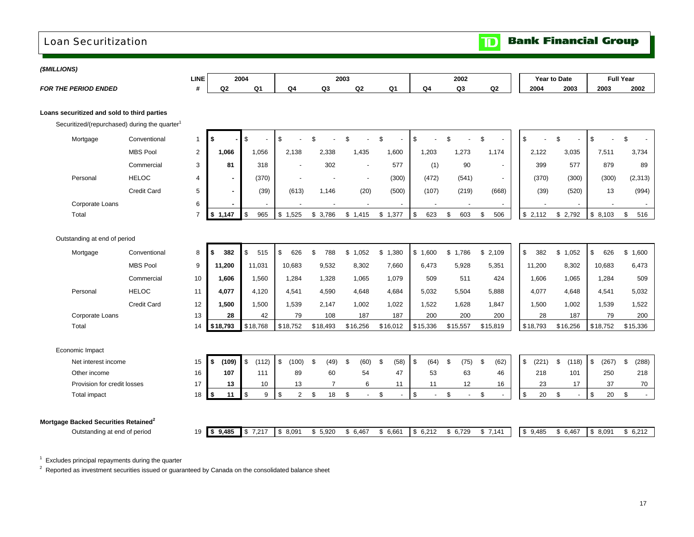# <span id="page-18-0"></span>Loan Securitization Loan Securitization

**Bank Financial Group**  $\mathbf{D}$ 

| (\$MILLIONS) |                                                  |                                                           |                |             |                |                    |                      |                          |                      |                                            |                |                          |             |                       |                        |                                   |
|--------------|--------------------------------------------------|-----------------------------------------------------------|----------------|-------------|----------------|--------------------|----------------------|--------------------------|----------------------|--------------------------------------------|----------------|--------------------------|-------------|-----------------------|------------------------|-----------------------------------|
|              |                                                  |                                                           | LINE           |             | 2004           |                    |                      | 2003                     |                      |                                            | 2002           |                          |             | Year to Date          |                        | <b>Full Year</b>                  |
|              | <b>FOR THE PERIOD ENDED</b>                      |                                                           | #              | Q2          | Q <sub>1</sub> | Q <sub>4</sub>     | Q3                   | Q2                       | Q <sub>1</sub>       | Q <sub>4</sub>                             | Q <sub>3</sub> | Q2                       | 2004        | 2003                  | 2003                   | 2002                              |
|              |                                                  |                                                           |                |             |                |                    |                      |                          |                      |                                            |                |                          |             |                       |                        |                                   |
|              | Loans securitized and sold to third parties      |                                                           |                |             |                |                    |                      |                          |                      |                                            |                |                          |             |                       |                        |                                   |
|              |                                                  | Securitized/(repurchased) during the quarter <sup>1</sup> |                |             |                |                    |                      |                          |                      |                                            |                |                          |             |                       |                        |                                   |
|              | Mortgage                                         | Conventional                                              | 1              | -\$         | \$             | \$                 | \$                   | $\mathfrak{L}$           | $\mathfrak{L}$       | $$\mathbb{S}$$                             | $\mathfrak{L}$ | \$                       | \$          | $\mathfrak{L}$        | \$                     | \$                                |
|              |                                                  | <b>MBS Pool</b>                                           | $\overline{2}$ | 1.066       | 1,056          | 2,138              | 2.338                | 1,435                    | 1,600                | 1,203                                      | 1,273          | 1,174                    | 2,122       | 3,035                 | 7,511                  | 3,734                             |
|              |                                                  | Commercial                                                | 3              | 81          | 318            |                    | 302                  |                          | 577                  | (1)                                        | 90             | $\blacksquare$           | 399         | 577                   | 879                    | 89                                |
|              | Personal                                         | <b>HELOC</b>                                              | 4              |             | (370)          |                    |                      | $\overline{\phantom{a}}$ | (300)                | (472)                                      | (541)          | $\overline{\phantom{a}}$ | (370)       | (300)                 | (300)                  | (2, 313)                          |
|              |                                                  | <b>Credit Card</b>                                        | 5              |             | (39)           | (613)              | 1,146                | (20)                     | (500)                | (107)                                      | (219)          | (668)                    | (39)        | (520)                 | 13                     | (994)                             |
|              | Corporate Loans                                  |                                                           | 6              |             |                |                    |                      |                          |                      |                                            |                |                          |             |                       |                        |                                   |
|              | Total                                            |                                                           | $\overline{7}$ | \$1,147     | \$<br>965      | \$1,525            | \$3,786              | \$1,415                  | \$1,377              | $\mathfrak s$<br>623                       | 603<br>\$      | \$<br>506                | \$2,112     | \$2,792               | \$8,103                | \$<br>516                         |
|              |                                                  |                                                           |                |             |                |                    |                      |                          |                      |                                            |                |                          |             |                       |                        |                                   |
|              | Outstanding at end of period                     |                                                           |                |             |                |                    |                      |                          |                      |                                            |                |                          |             |                       |                        |                                   |
|              | Mortgage                                         | Conventional                                              | 8              | 382<br>\$   | \$<br>515      | \$<br>626          | \$<br>788            | \$1,052                  | \$1,380              | \$1,600                                    | \$1,786        | \$2,109                  | \$<br>382   | \$1,052               | $\mathfrak s$<br>626   | \$1,600                           |
|              |                                                  | <b>MBS Pool</b>                                           | 9              | 11,200      | 11,031         | 10,683             | 9,532                | 8,302                    | 7,660                | 6,473                                      | 5,928          | 5,351                    | 11,200      | 8,302                 | 10,683                 | 6,473                             |
|              |                                                  | Commercial                                                | 10             | 1,606       | 1,560          | 1,284              | 1,328                | 1,065                    | 1,079                | 509                                        | 511            | 424                      | 1,606       | 1,065                 | 1,284                  | 509                               |
|              | Personal                                         | <b>HELOC</b>                                              | 11             | 4.077       | 4.120          | 4.541              | 4.590                | 4.648                    | 4.684                | 5.032                                      | 5.504          | 5.888                    | 4,077       | 4.648                 | 4.541                  | 5,032                             |
|              |                                                  | <b>Credit Card</b>                                        | 12             | 1,500       | 1,500          | 1,539              | 2,147                | 1,002                    | 1,022                | 1,522                                      | 1,628          | 1,847                    | 1,500       | 1,002                 | 1,539                  | 1,522                             |
|              | Corporate Loans                                  |                                                           | 13             | 28          | 42             | 79                 | 108                  | 187                      | 187                  | 200                                        | 200            | 200                      | 28          | 187                   | 79                     | 200                               |
|              | Total                                            |                                                           | 14             | \$18,793    | \$18,768       | \$18,752           | \$18,493             | \$16,256                 | \$16,012             | \$15,336                                   | \$15,557       | \$15,819                 | \$18,793    | \$16,256              | \$18,752               | \$15,336                          |
|              |                                                  |                                                           |                |             |                |                    |                      |                          |                      |                                            |                |                          |             |                       |                        |                                   |
|              | Economic Impact                                  |                                                           |                |             |                |                    |                      |                          |                      |                                            |                |                          |             |                       |                        |                                   |
|              | Net interest income                              |                                                           | 15             | \$<br>(109) | \$<br>(112)    | \$<br>(100)        | $\mathbf{s}$<br>(49) | \$<br>(60)               | \$<br>(58)           | \$<br>(64)                                 | - \$<br>(75)   | \$<br>(62)               | \$<br>(221) | $\mathbb{S}$<br>(118) | $\mathfrak s$<br>(267) | \$<br>(288)                       |
|              | Other income                                     |                                                           | 16             | 107         | 111            | 89                 | 60                   | 54                       | 47                   | 53                                         | 63             | 46                       | 218         | 101                   | 250                    | 218                               |
|              | Provision for credit losses                      |                                                           | 17             | 13          | 10             | 13                 | $\overline{7}$       | 6                        | 11                   | 11                                         | 12             | 16                       | 23          | 17                    | 37                     | 70                                |
|              | Total impact                                     |                                                           | 18             | 11<br>\$    | \$<br>9        | $\mathfrak s$<br>2 | \$<br>18             | \$<br>$\blacksquare$     | \$<br>$\overline{a}$ | $$\mathbb{S}$$<br>$\overline{\phantom{a}}$ | \$<br>$\sim$   | \$<br>$\overline{a}$     | \$<br>20    | \$                    | $$\mathbb{S}$$<br>20   | \$<br>$\mathcal{L}_{\mathcal{A}}$ |
|              |                                                  |                                                           |                |             |                |                    |                      |                          |                      |                                            |                |                          |             |                       |                        |                                   |
|              | Mortgage Backed Securities Retained <sup>2</sup> |                                                           |                |             |                |                    |                      |                          |                      |                                            |                |                          |             |                       |                        |                                   |
|              | Outstanding at end of period                     |                                                           | 19             | \$9,485     | \$7,217        | \$8,091            | \$5,920              | \$6,467                  | \$6,661              | \$6,212                                    | \$6,729        | \$7,141                  | \$9,485     | \$6,467               | \$8,091                | \$6,212                           |

 $^1\,$  Excludes principal repayments during the quarter<br> $^2\,$  Reported as investment securities issued or guaranteed by Canada on the consolidated balance sheet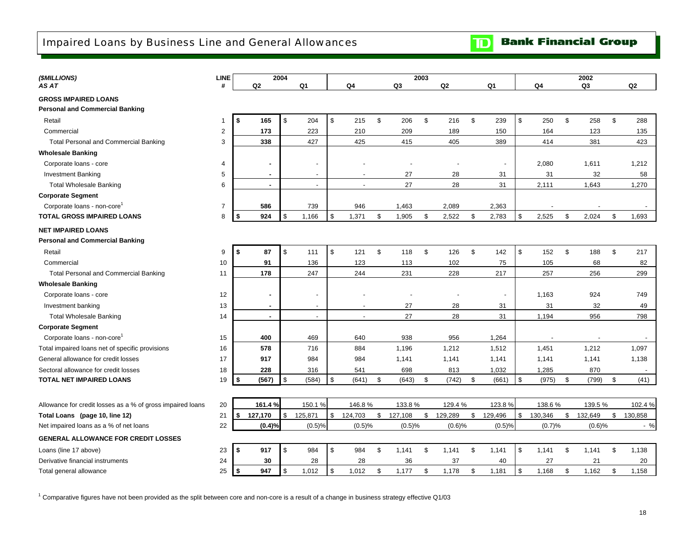<span id="page-19-0"></span>

| (\$MILLIONS)                                               | LINE           | 2004              |    |                          | 2003                     |    |         |    |         |                | 2002         |         |    |         |    |                |
|------------------------------------------------------------|----------------|-------------------|----|--------------------------|--------------------------|----|---------|----|---------|----------------|--------------|---------|----|---------|----|----------------|
| AS AT                                                      | #              | Q2                |    | Q1                       | Q4                       |    | Q3      |    | Q2      | Q <sub>1</sub> |              | Q4      |    | Q3      |    | Q <sub>2</sub> |
| <b>GROSS IMPAIRED LOANS</b>                                |                |                   |    |                          |                          |    |         |    |         |                |              |         |    |         |    |                |
| <b>Personal and Commercial Banking</b>                     |                |                   |    |                          |                          |    |         |    |         |                |              |         |    |         |    |                |
| Retail                                                     | -1             | S.<br>165         | \$ | 204                      | \$<br>215                | \$ | 206     | \$ | 216     | \$<br>239      | \$           | 250     | \$ | 258     | \$ | 288            |
| Commercial                                                 | $\overline{2}$ | 173               |    | 223                      | 210                      |    | 209     |    | 189     | 150            |              | 164     |    | 123     |    | 135            |
| <b>Total Personal and Commercial Banking</b>               | 3              | 338               |    | 427                      | 425                      |    | 415     |    | 405     | 389            |              | 414     |    | 381     |    | 423            |
| <b>Wholesale Banking</b>                                   |                |                   |    |                          |                          |    |         |    |         |                |              |         |    |         |    |                |
| Corporate loans - core                                     | $\overline{4}$ |                   |    |                          |                          |    |         |    |         |                |              | 2,080   |    | 1,611   |    | 1,212          |
| <b>Investment Banking</b>                                  | 5              | $\sim$            |    | $\overline{a}$           |                          |    | 27      |    | 28      | 31             |              | 31      |    | 32      |    | 58             |
| <b>Total Wholesale Banking</b>                             | 6              | $\sim$            |    | $\overline{a}$           | $\overline{a}$           |    | 27      |    | 28      | 31             |              | 2,111   |    | 1,643   |    | 1,270          |
| <b>Corporate Segment</b>                                   |                |                   |    |                          |                          |    |         |    |         |                |              |         |    |         |    |                |
| Corporate loans - non-core                                 | $\overline{7}$ | 586               |    | 739                      | 946                      |    | 1,463   |    | 2,089   | 2,363          |              |         |    |         |    |                |
| <b>TOTAL GROSS IMPAIRED LOANS</b>                          | 8              | $\sqrt{2}$<br>924 | \$ | 1,166                    | \$<br>1,371              | \$ | 1,905   | \$ | 2,522   | \$<br>2,783    | $\mathbb{S}$ | 2,525   | \$ | 2,024   | \$ | 1,693          |
| <b>NET IMPAIRED LOANS</b>                                  |                |                   |    |                          |                          |    |         |    |         |                |              |         |    |         |    |                |
| <b>Personal and Commercial Banking</b>                     |                |                   |    |                          |                          |    |         |    |         |                |              |         |    |         |    |                |
| Retail                                                     | 9              | \$<br>87          | \$ | 111                      | \$<br>121                | \$ | 118     | \$ | 126     | \$<br>142      | \$           | 152     | \$ | 188     | \$ | 217            |
| Commercial                                                 | 10             | 91                |    | 136                      | 123                      |    | 113     |    | 102     | 75             |              | 105     |    | 68      |    | 82             |
| <b>Total Personal and Commercial Banking</b>               | 11             | 178               |    | 247                      | 244                      |    | 231     |    | 228     | 217            |              | 257     |    | 256     |    | 299            |
| <b>Wholesale Banking</b>                                   |                |                   |    |                          |                          |    |         |    |         |                |              |         |    |         |    |                |
| Corporate loans - core                                     | 12             | $\blacksquare$    |    |                          |                          |    |         |    |         |                |              | 1,163   |    | 924     |    | 749            |
| Investment banking                                         | 13             | $\sim$            |    | $\overline{\phantom{0}}$ | $\overline{\phantom{a}}$ |    | 27      |    | 28      | 31             |              | 31      |    | 32      |    | 49             |
| <b>Total Wholesale Banking</b>                             | 14             | $\sim$            |    | $\overline{a}$           | $\overline{a}$           |    | 27      |    | 28      | 31             |              | 1,194   |    | 956     |    | 798            |
| <b>Corporate Segment</b>                                   |                |                   |    |                          |                          |    |         |    |         |                |              |         |    |         |    |                |
| Corporate loans - non-core                                 | 15             | 400               |    | 469                      | 640                      |    | 938     |    | 956     | 1,264          |              |         |    |         |    |                |
| Total impaired loans net of specific provisions            | 16             | 578               |    | 716                      | 884                      |    | 1,196   |    | 1,212   | 1,512          |              | 1,451   |    | 1,212   |    | 1,097          |
| General allowance for credit losses                        | 17             | 917               |    | 984                      | 984                      |    | 1,141   |    | 1,141   | 1,141          |              | 1,141   |    | 1,141   |    | 1,138          |
| Sectoral allowance for credit losses                       | 18             | 228               |    | 316                      | 541                      |    | 698     |    | 813     | 1,032          |              | 1,285   |    | 870     |    |                |
| <b>TOTAL NET IMPAIRED LOANS</b>                            | 19             | (567)<br>l \$     | \$ | (584)                    | \$<br>(641)              | \$ | (643)   | \$ | (742)   | \$<br>(661)    | $\mathbb{S}$ | (975)   | \$ | (799)   | \$ | (41)           |
|                                                            |                |                   |    |                          |                          |    |         |    |         |                |              |         |    |         |    |                |
| Allowance for credit losses as a % of gross impaired loans | 20             | 161.4%            |    | 150.1%                   | 146.8%                   |    | 133.8%  |    | 129.4%  | 123.8%         |              | 138.6%  |    | 139.5%  |    | 102.4 %        |
| Total Loans (page 10, line 12)                             | 21             | 127,170<br>\$     | \$ | 125,871                  | \$<br>124,703            | \$ | 127,108 | \$ | 129,289 | \$<br>129,496  | \$           | 130,346 | \$ | 132,649 | \$ | 130,858        |
| Net impaired loans as a % of net loans                     | 22             | (0.4)%            |    | (0.5)%                   | (0.5)%                   |    | (0.5)%  |    | (0.6)%  | (0.5)%         |              | (0.7)%  |    | (0.6)%  |    | $-$ %          |
| <b>GENERAL ALLOWANCE FOR CREDIT LOSSES</b>                 |                |                   |    |                          |                          |    |         |    |         |                |              |         |    |         |    |                |
| Loans (line 17 above)                                      | 23             | -\$<br>917        | \$ | 984                      | \$<br>984                | \$ | 1,141   | \$ | 1,141   | \$<br>1,141    | \$           | 1,141   | \$ | 1,141   | \$ | 1,138          |
| Derivative financial instruments                           | 24             | 30                |    | 28                       | 28                       |    | 36      |    | 37      | 40             |              | 27      |    | 21      |    | 20             |
| Total general allowance                                    | 25             | l \$<br>947       | \$ | 1,012                    | \$<br>1,012              | \$ | 1,177   | \$ | 1,178   | \$<br>1,181    | \$           | 1,168   | \$ | 1,162   | \$ | 1,158          |
|                                                            |                |                   |    |                          |                          |    |         |    |         |                |              |         |    |         |    |                |

 $^1$  Comparative figures have not been provided as the split between core and non-core is a result of a change in business strategy effective Q1/03